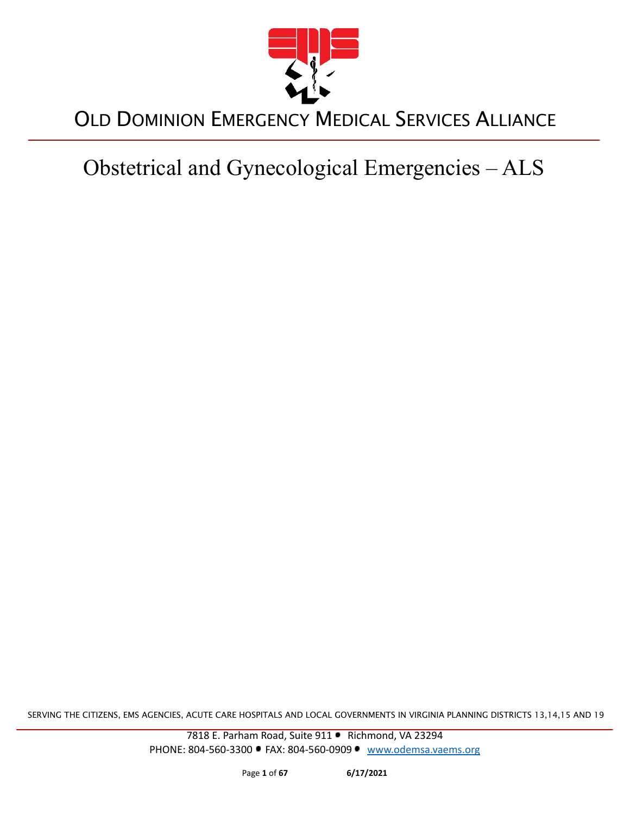

Obstetrical and Gynecological Emergencies – ALS

SERVING THE CITIZENS, EMS AGENCIES, ACUTE CARE HOSPITALS AND LOCAL GOVERNMENTS IN VIRGINIA PLANNING DISTRICTS 13,14,15 AND 19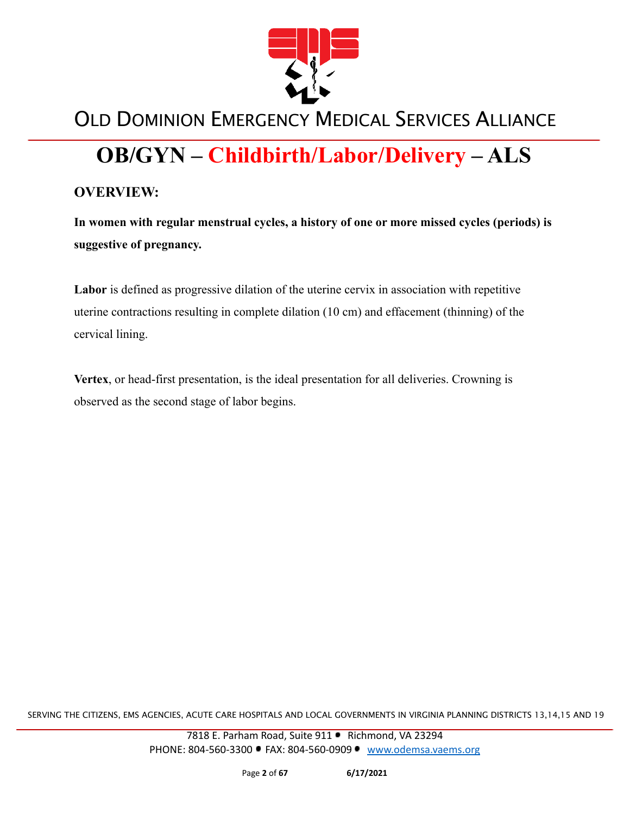

# **OB/GYN – Childbirth/Labor/Delivery – ALS**

### **OVERVIEW:**

**In women with regular menstrual cycles, a history of one or more missed cycles (periods) is suggestive of pregnancy.**

**Labor** is defined as progressive dilation of the uterine cervix in association with repetitive uterine contractions resulting in complete dilation (10 cm) and effacement (thinning) of the cervical lining.

**Vertex**, or head-first presentation, is the ideal presentation for all deliveries. Crowning is observed as the second stage of labor begins.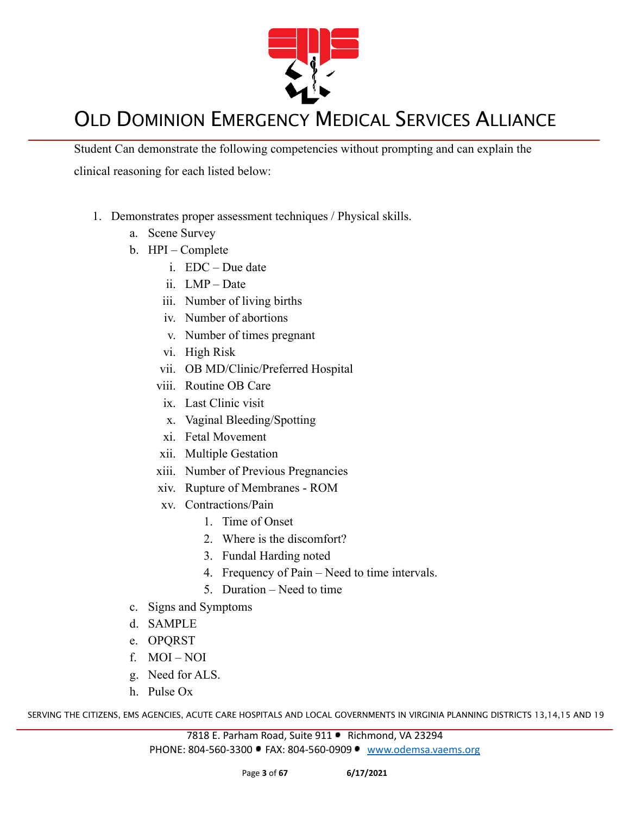

Student Can demonstrate the following competencies without prompting and can explain the clinical reasoning for each listed below:

- 1. Demonstrates proper assessment techniques / Physical skills.
	- a. Scene Survey
	- b. HPI Complete
		- i. EDC Due date
		- ii. LMP Date
		- iii. Number of living births
		- iv. Number of abortions
		- v. Number of times pregnant
		- vi. High Risk
		- vii. OB MD/Clinic/Preferred Hospital
		- viii. Routine OB Care
		- ix. Last Clinic visit
		- x. Vaginal Bleeding/Spotting
		- xi. Fetal Movement
		- xii. Multiple Gestation
		- xiii. Number of Previous Pregnancies
		- xiv. Rupture of Membranes ROM
		- xv. Contractions/Pain
			- 1. Time of Onset
			- 2. Where is the discomfort?
			- 3. Fundal Harding noted
			- 4. Frequency of Pain Need to time intervals.
			- 5. Duration Need to time
	- c. Signs and Symptoms
	- d. SAMPLE
	- e. OPQRST
	- f. MOI NOI
	- g. Need for ALS.
	- h. Pulse Ox

SERVING THE CITIZENS, EMS AGENCIES, ACUTE CARE HOSPITALS AND LOCAL GOVERNMENTS IN VIRGINIA PLANNING DISTRICTS 13,14,15 AND 19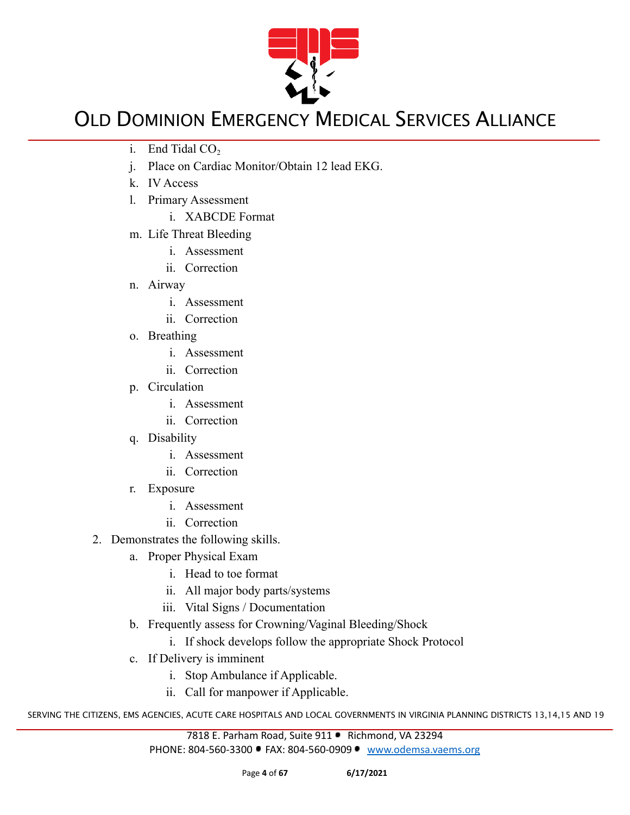

- i. End Tidal  $CO<sub>2</sub>$
- j. Place on Cardiac Monitor/Obtain 12 lead EKG.
- k. IV Access
- l. Primary Assessment
	- i. XABCDE Format
- m. Life Threat Bleeding
	- i. Assessment
	- ii. Correction
- n. Airway
	- i. Assessment
	- ii. Correction
- o. Breathing
	- i. Assessment
	- ii. Correction
- p. Circulation
	- i. Assessment
	- ii. Correction
- q. Disability
	- i. Assessment
	- ii. Correction
- r. Exposure
	- i. Assessment
	- ii. Correction
- 2. Demonstrates the following skills.
	- a. Proper Physical Exam
		- i. Head to toe format
		- ii. All major body parts/systems
		- iii. Vital Signs / Documentation
	- b. Frequently assess for Crowning/Vaginal Bleeding/Shock
		- i. If shock develops follow the appropriate Shock Protocol
	- c. If Delivery is imminent
		- i. Stop Ambulance if Applicable.
		- ii. Call for manpower if Applicable.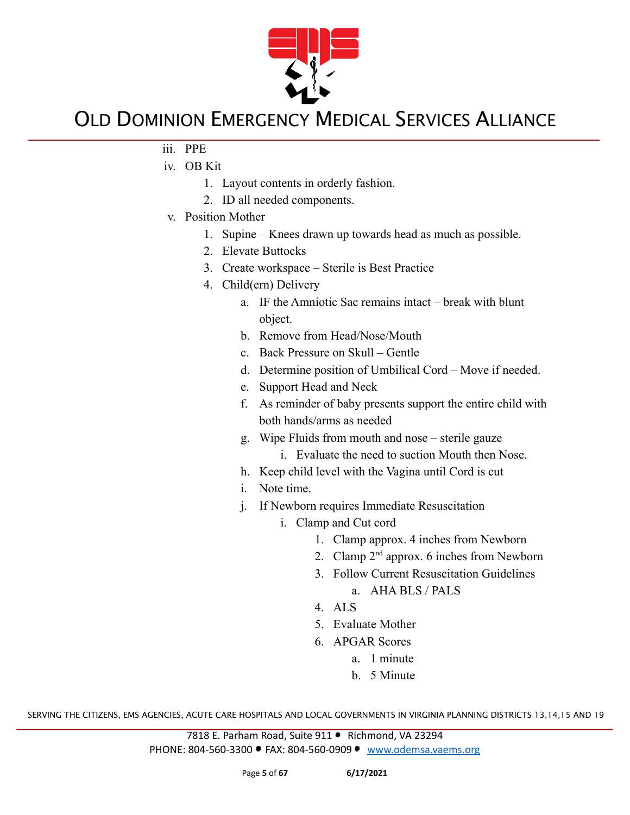

#### iii. PPE

- iv. OB Kit
	- 1. Layout contents in orderly fashion.
	- 2. ID all needed components.
- v. Position Mother
	- 1. Supine Knees drawn up towards head as much as possible.
	- 2. Elevate Buttocks
	- 3. Create workspace Sterile is Best Practice
	- 4. Child(ern) Delivery
		- a. IF the Amniotic Sac remains intact break with blunt object.
		- b. Remove from Head/Nose/Mouth
		- c. Back Pressure on Skull Gentle
		- d. Determine position of Umbilical Cord Move if needed.
		- e. Support Head and Neck
		- f. As reminder of baby presents support the entire child with both hands/arms as needed
		- g. Wipe Fluids from mouth and nose sterile gauze
			- i. Evaluate the need to suction Mouth then Nose.
		- h. Keep child level with the Vagina until Cord is cut
		- i. Note time.
		- j. If Newborn requires Immediate Resuscitation
			- i. Clamp and Cut cord
				- 1. Clamp approx. 4 inches from Newborn
				- 2. Clamp  $2^{nd}$  approx. 6 inches from Newborn
				- 3. Follow Current Resuscitation Guidelines
					- a. AHA BLS / PALS
				- 4. ALS
				- 5. Evaluate Mother
				- 6. APGAR Scores
					- a. 1 minute
					- b. 5 Minute

SERVING THE CITIZENS, EMS AGENCIES, ACUTE CARE HOSPITALS AND LOCAL GOVERNMENTS IN VIRGINIA PLANNING DISTRICTS 13,14,15 AND 19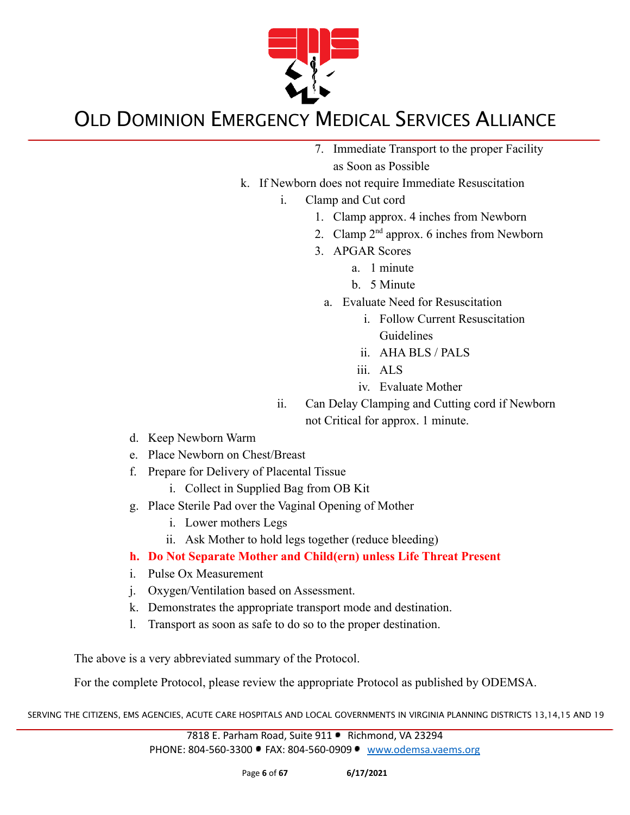

- 7. Immediate Transport to the proper Facility as Soon as Possible
- k. If Newborn does not require Immediate Resuscitation
	- i. Clamp and Cut cord
		- 1. Clamp approx. 4 inches from Newborn
		- 2. Clamp  $2^{nd}$  approx. 6 inches from Newborn
		- 3. APGAR Scores
			- a. 1 minute
			- b. 5 Minute
			- a. Evaluate Need for Resuscitation
				- i. Follow Current Resuscitation Guidelines
				- ii. AHA BLS / PALS
				- iii. ALS
				- iv. Evaluate Mother
	- ii. Can Delay Clamping and Cutting cord if Newborn not Critical for approx. 1 minute.
- d. Keep Newborn Warm
- e. Place Newborn on Chest/Breast
- f. Prepare for Delivery of Placental Tissue
	- i. Collect in Supplied Bag from OB Kit
- g. Place Sterile Pad over the Vaginal Opening of Mother
	- i. Lower mothers Legs
	- ii. Ask Mother to hold legs together (reduce bleeding)
- **h. Do Not Separate Mother and Child(ern) unless Life Threat Present**
- i. Pulse Ox Measurement
- j. Oxygen/Ventilation based on Assessment.
- k. Demonstrates the appropriate transport mode and destination.
- l. Transport as soon as safe to do so to the proper destination.

The above is a very abbreviated summary of the Protocol.

For the complete Protocol, please review the appropriate Protocol as published by ODEMSA.

SERVING THE CITIZENS, EMS AGENCIES, ACUTE CARE HOSPITALS AND LOCAL GOVERNMENTS IN VIRGINIA PLANNING DISTRICTS 13,14,15 AND 19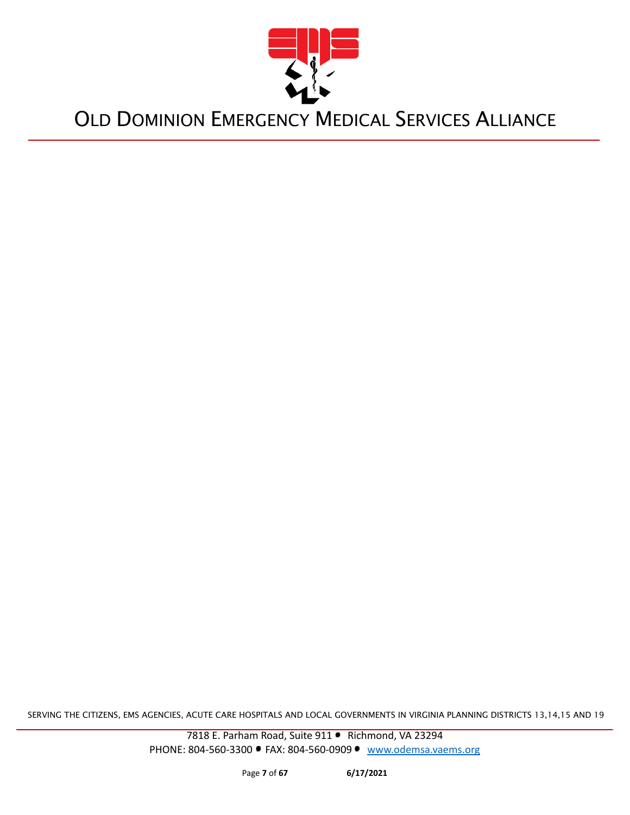

SERVING THE CITIZENS, EMS AGENCIES, ACUTE CARE HOSPITALS AND LOCAL GOVERNMENTS IN VIRGINIA PLANNING DISTRICTS 13,14,15 AND 19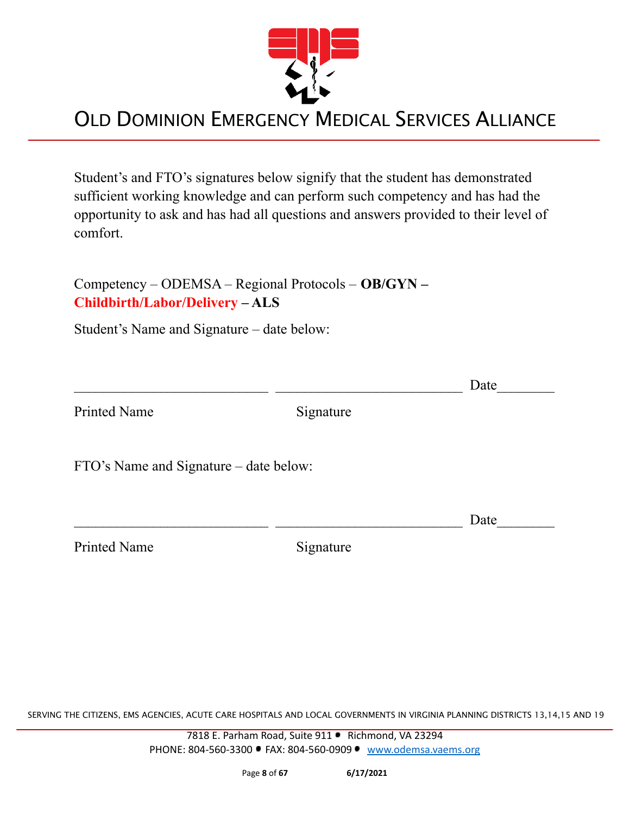

Student's and FTO's signatures below signify that the student has demonstrated sufficient working knowledge and can perform such competency and has had the opportunity to ask and has had all questions and answers provided to their level of comfort.

Competency – ODEMSA – Regional Protocols – **OB/GYN – Childbirth/Labor/Delivery – ALS**

Student's Name and Signature – date below:

|                                        | Date |
|----------------------------------------|------|
| Signature                              |      |
| FTO's Name and Signature – date below: |      |
|                                        | Date |
| Signature                              |      |
|                                        |      |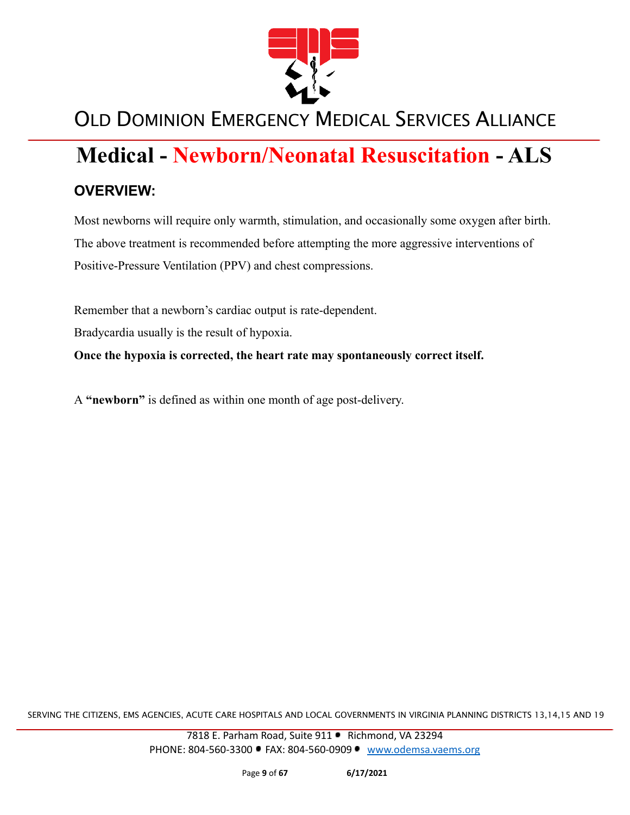

## **Medical - Newborn/Neonatal Resuscitation - ALS**

### **OVERVIEW:**

Most newborns will require only warmth, stimulation, and occasionally some oxygen after birth. The above treatment is recommended before attempting the more aggressive interventions of Positive-Pressure Ventilation (PPV) and chest compressions.

Remember that a newborn's cardiac output is rate-dependent.

Bradycardia usually is the result of hypoxia.

**Once the hypoxia is corrected, the heart rate may spontaneously correct itself.**

A **"newborn"** is defined as within one month of age post-delivery.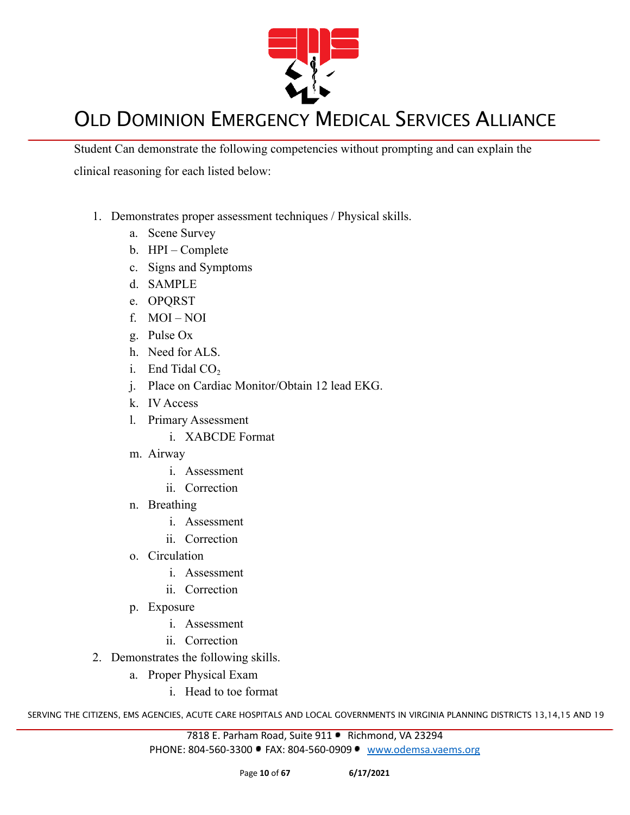

Student Can demonstrate the following competencies without prompting and can explain the clinical reasoning for each listed below:

- 1. Demonstrates proper assessment techniques / Physical skills.
	- a. Scene Survey
	- b. HPI Complete
	- c. Signs and Symptoms
	- d. SAMPLE
	- e. OPQRST
	- f. MOI NOI
	- g. Pulse Ox
	- h. Need for ALS.
	- i. End Tidal  $CO<sub>2</sub>$
	- j. Place on Cardiac Monitor/Obtain 12 lead EKG.
	- k. IV Access
	- l. Primary Assessment
		- i. XABCDE Format
	- m. Airway
		- i. Assessment
		- ii. Correction
	- n. Breathing
		- i. Assessment
		- ii. Correction
	- o. Circulation
		- i. Assessment
		- ii. Correction
	- p. Exposure
		- i. Assessment
		- ii. Correction
- 2. Demonstrates the following skills.
	- a. Proper Physical Exam
		- i. Head to toe format

SERVING THE CITIZENS, EMS AGENCIES, ACUTE CARE HOSPITALS AND LOCAL GOVERNMENTS IN VIRGINIA PLANNING DISTRICTS 13,14,15 AND 19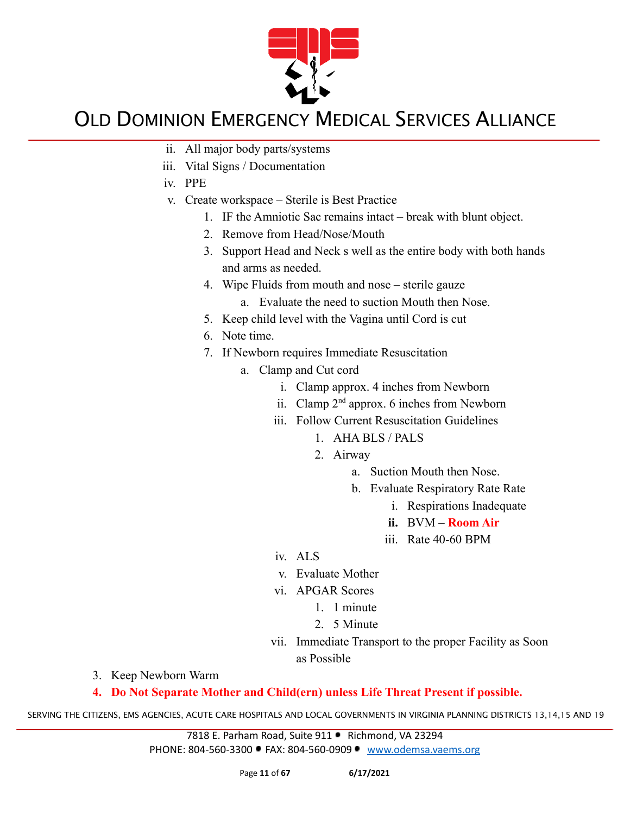

- ii. All major body parts/systems
- iii. Vital Signs / Documentation
- iv. PPE
- v. Create workspace Sterile is Best Practice
	- 1. IF the Amniotic Sac remains intact break with blunt object.
	- 2. Remove from Head/Nose/Mouth
	- 3. Support Head and Neck s well as the entire body with both hands and arms as needed.
	- 4. Wipe Fluids from mouth and nose sterile gauze
		- a. Evaluate the need to suction Mouth then Nose.
	- 5. Keep child level with the Vagina until Cord is cut
	- 6. Note time.
	- 7. If Newborn requires Immediate Resuscitation
		- a. Clamp and Cut cord
			- i. Clamp approx. 4 inches from Newborn
			- ii. Clamp  $2<sup>nd</sup>$  approx. 6 inches from Newborn
			- iii. Follow Current Resuscitation Guidelines
				- 1. AHA BLS / PALS
				- 2. Airway
					- a. Suction Mouth then Nose.
					- b. Evaluate Respiratory Rate Rate
						- i. Respirations Inadequate
							- **ii.** BVM **Room Air**
							- iii. Rate 40-60 BPM
			- iv. ALS
			- v. Evaluate Mother
			- vi. APGAR Scores
				- 1. 1 minute
					- 2. 5 Minute
			- vii. Immediate Transport to the proper Facility as Soon as Possible
- 3. Keep Newborn Warm

#### **4. Do Not Separate Mother and Child(ern) unless Life Threat Present if possible.**

SERVING THE CITIZENS, EMS AGENCIES, ACUTE CARE HOSPITALS AND LOCAL GOVERNMENTS IN VIRGINIA PLANNING DISTRICTS 13,14,15 AND 19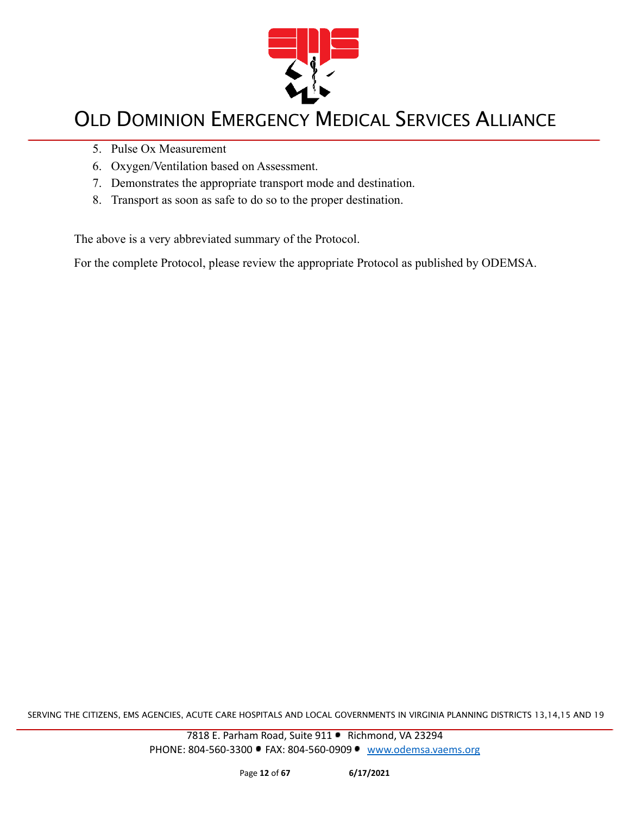

- 5. Pulse Ox Measurement
- 6. Oxygen/Ventilation based on Assessment.
- 7. Demonstrates the appropriate transport mode and destination.
- 8. Transport as soon as safe to do so to the proper destination.

The above is a very abbreviated summary of the Protocol.

For the complete Protocol, please review the appropriate Protocol as published by ODEMSA.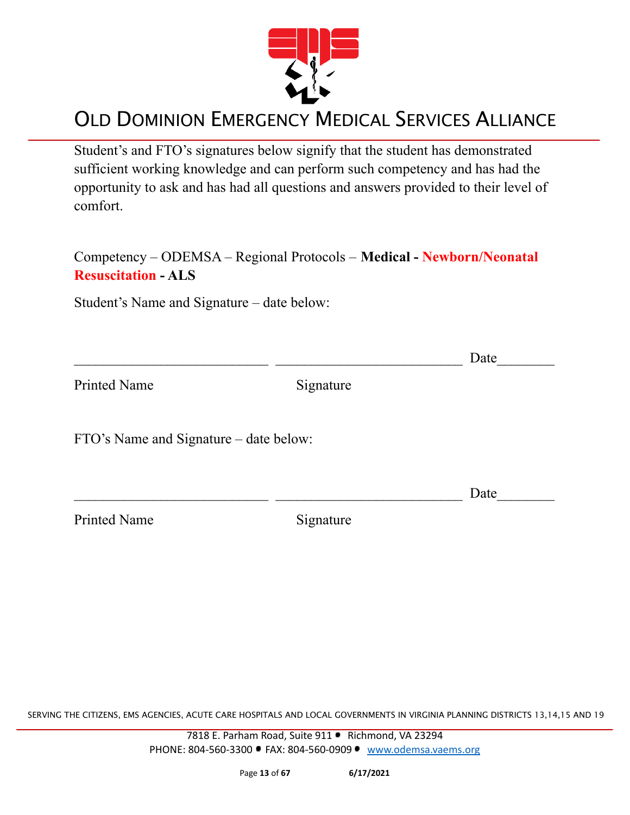

Student's and FTO's signatures below signify that the student has demonstrated sufficient working knowledge and can perform such competency and has had the opportunity to ask and has had all questions and answers provided to their level of comfort.

Competency – ODEMSA – Regional Protocols – **Medical - Newborn/Neonatal Resuscitation - ALS**

Student's Name and Signature – date below:

|                                        |           | Date |
|----------------------------------------|-----------|------|
| <b>Printed Name</b>                    | Signature |      |
| FTO's Name and Signature – date below: |           |      |
|                                        |           | Date |
| <b>Printed Name</b>                    | Signature |      |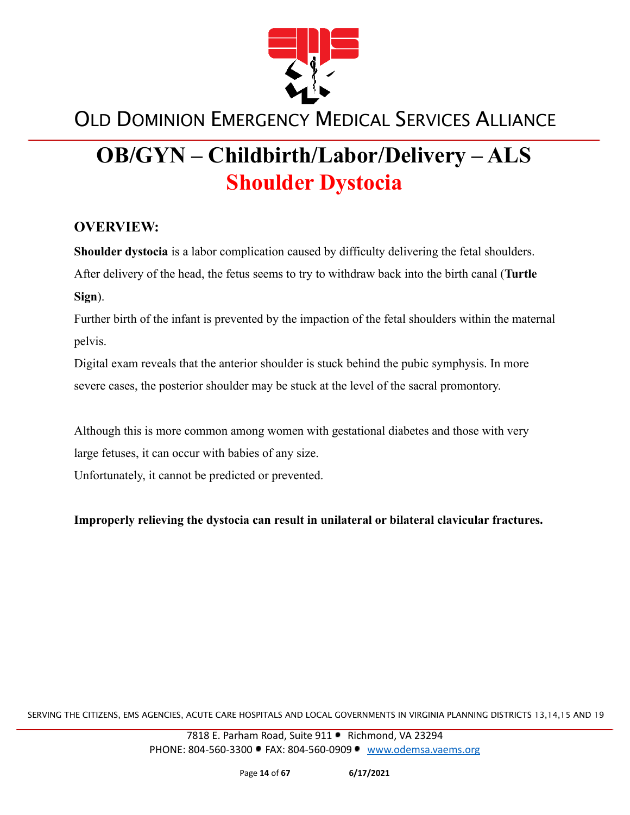

# **OB/GYN – Childbirth/Labor/Delivery – ALS Shoulder Dystocia**

#### **OVERVIEW:**

**Shoulder dystocia** is a labor complication caused by difficulty delivering the fetal shoulders. After delivery of the head, the fetus seems to try to withdraw back into the birth canal (**Turtle Sign**).

Further birth of the infant is prevented by the impaction of the fetal shoulders within the maternal pelvis.

Digital exam reveals that the anterior shoulder is stuck behind the pubic symphysis. In more severe cases, the posterior shoulder may be stuck at the level of the sacral promontory.

Although this is more common among women with gestational diabetes and those with very large fetuses, it can occur with babies of any size.

Unfortunately, it cannot be predicted or prevented.

**Improperly relieving the dystocia can result in unilateral or bilateral clavicular fractures.**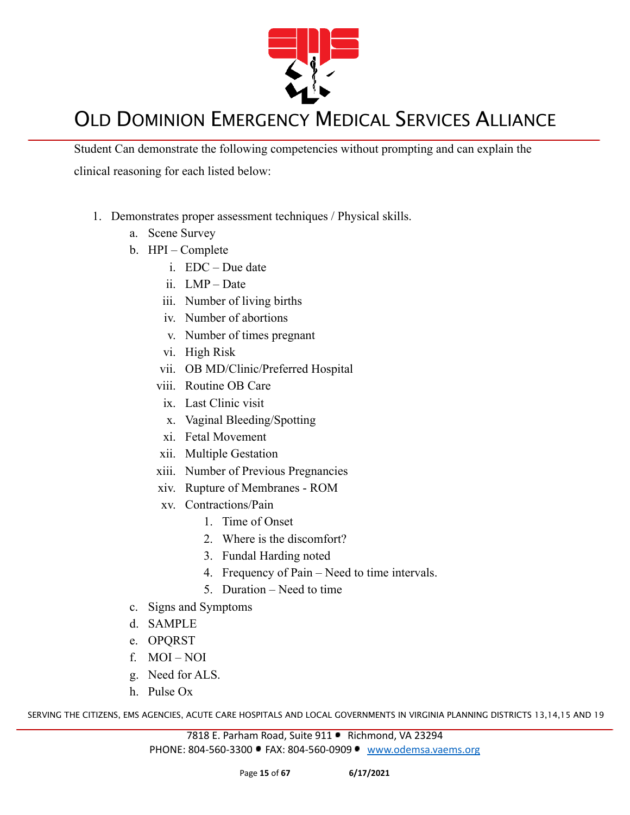

Student Can demonstrate the following competencies without prompting and can explain the clinical reasoning for each listed below:

- 1. Demonstrates proper assessment techniques / Physical skills.
	- a. Scene Survey
	- b. HPI Complete
		- i. EDC Due date
		- ii. LMP Date
		- iii. Number of living births
		- iv. Number of abortions
		- v. Number of times pregnant
		- vi. High Risk
		- vii. OB MD/Clinic/Preferred Hospital
		- viii. Routine OB Care
		- ix. Last Clinic visit
		- x. Vaginal Bleeding/Spotting
		- xi. Fetal Movement
		- xii. Multiple Gestation
		- xiii. Number of Previous Pregnancies
		- xiv. Rupture of Membranes ROM
		- xv. Contractions/Pain
			- 1. Time of Onset
			- 2. Where is the discomfort?
			- 3. Fundal Harding noted
			- 4. Frequency of Pain Need to time intervals.
			- 5. Duration Need to time
	- c. Signs and Symptoms
	- d. SAMPLE
	- e. OPQRST
	- f. MOI NOI
	- g. Need for ALS.
	- h. Pulse Ox

SERVING THE CITIZENS, EMS AGENCIES, ACUTE CARE HOSPITALS AND LOCAL GOVERNMENTS IN VIRGINIA PLANNING DISTRICTS 13,14,15 AND 19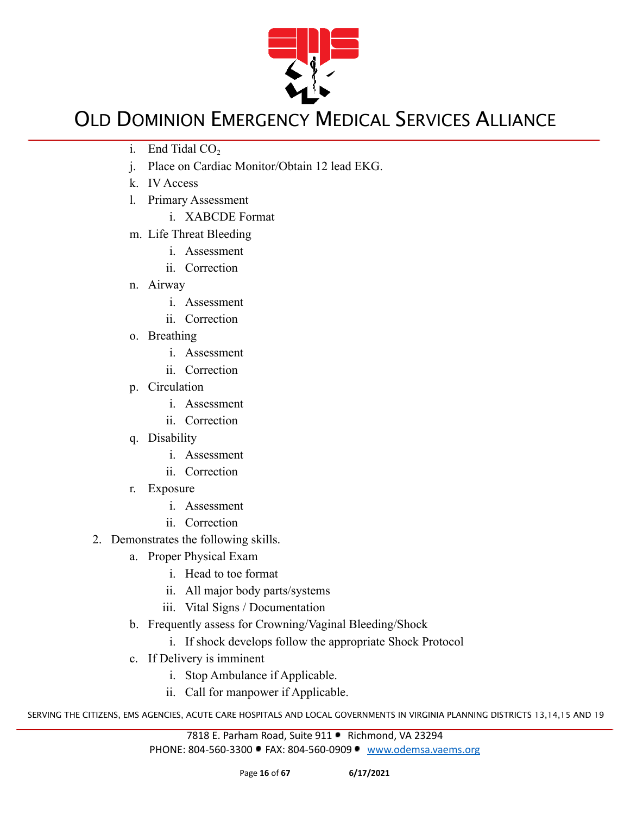

- i. End Tidal  $CO<sub>2</sub>$
- j. Place on Cardiac Monitor/Obtain 12 lead EKG.
- k. IV Access
- l. Primary Assessment
	- i. XABCDE Format
- m. Life Threat Bleeding
	- i. Assessment
	- ii. Correction
- n. Airway
	- i. Assessment
	- ii. Correction
- o. Breathing
	- i. Assessment
	- ii. Correction
- p. Circulation
	- i. Assessment
	- ii. Correction
- q. Disability
	- i. Assessment
	- ii. Correction
- r. Exposure
	- i. Assessment
	- ii. Correction
- 2. Demonstrates the following skills.
	- a. Proper Physical Exam
		- i. Head to toe format
		- ii. All major body parts/systems
		- iii. Vital Signs / Documentation
	- b. Frequently assess for Crowning/Vaginal Bleeding/Shock
		- i. If shock develops follow the appropriate Shock Protocol
	- c. If Delivery is imminent
		- i. Stop Ambulance if Applicable.
		- ii. Call for manpower if Applicable.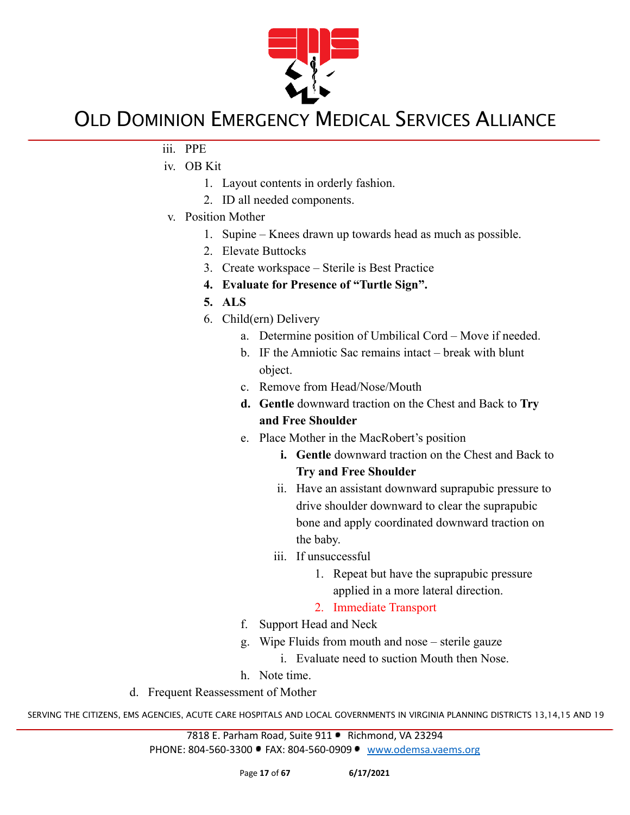

#### iii. PPE

- iv. OB Kit
	- 1. Layout contents in orderly fashion.
	- 2. ID all needed components.
- v. Position Mother
	- 1. Supine Knees drawn up towards head as much as possible.
	- 2. Elevate Buttocks
	- 3. Create workspace Sterile is Best Practice
	- **4. Evaluate for Presence of "Turtle Sign".**
	- **5. ALS**
	- 6. Child(ern) Delivery
		- a. Determine position of Umbilical Cord Move if needed.
		- b. IF the Amniotic Sac remains intact break with blunt object.
		- c. Remove from Head/Nose/Mouth
		- **d. Gentle** downward traction on the Chest and Back to **Try and Free Shoulder**
		- e. Place Mother in the MacRobert's position
			- **i. Gentle** downward traction on the Chest and Back to **Try and Free Shoulder**
			- ii. Have an assistant downward suprapubic pressure to drive shoulder downward to clear the suprapubic bone and apply coordinated downward traction on the baby.
			- iii. If unsuccessful
				- 1. Repeat but have the suprapubic pressure applied in a more lateral direction.
				- 2. Immediate Transport
		- f. Support Head and Neck
		- g. Wipe Fluids from mouth and nose sterile gauze
			- i. Evaluate need to suction Mouth then Nose.
		- h. Note time.
- d. Frequent Reassessment of Mother

SERVING THE CITIZENS, EMS AGENCIES, ACUTE CARE HOSPITALS AND LOCAL GOVERNMENTS IN VIRGINIA PLANNING DISTRICTS 13,14,15 AND 19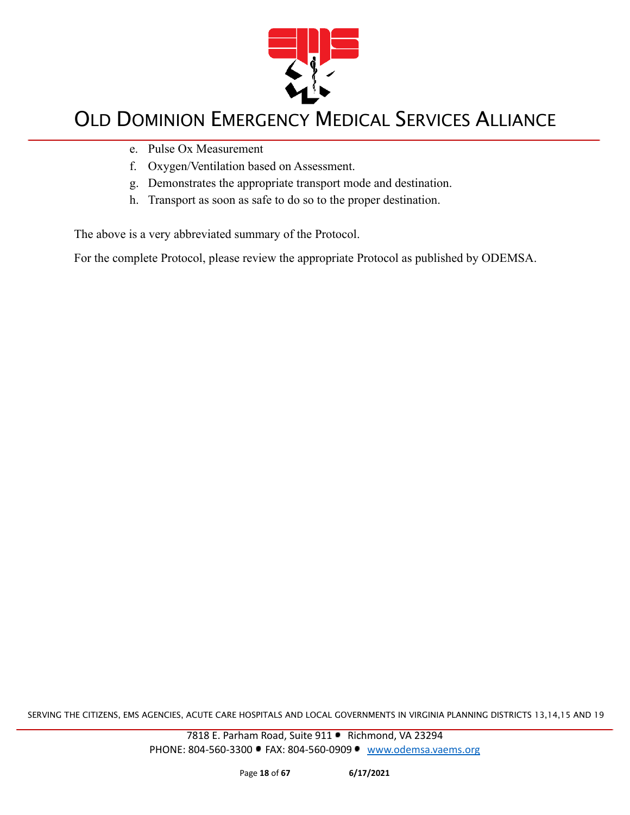

- e. Pulse Ox Measurement
- f. Oxygen/Ventilation based on Assessment.
- g. Demonstrates the appropriate transport mode and destination.
- h. Transport as soon as safe to do so to the proper destination.

The above is a very abbreviated summary of the Protocol.

For the complete Protocol, please review the appropriate Protocol as published by ODEMSA.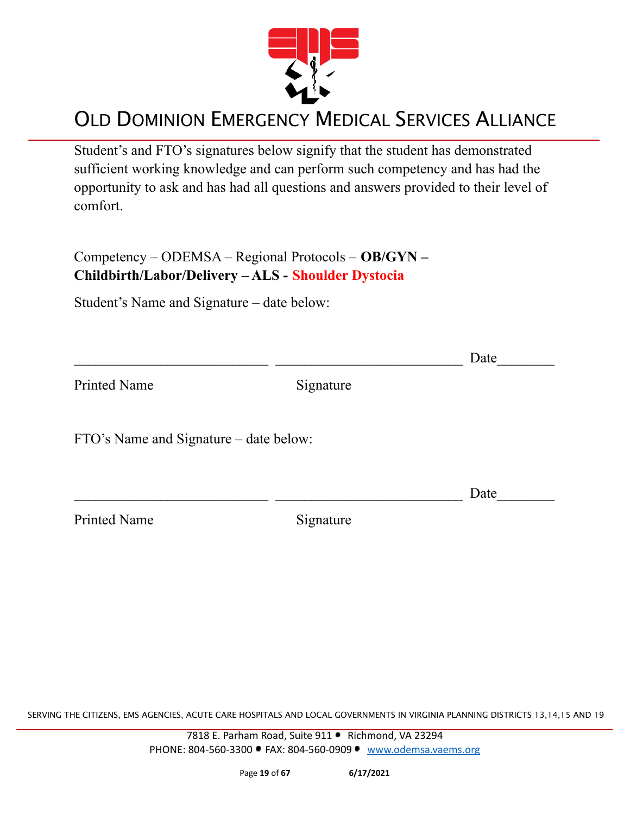

Student's and FTO's signatures below signify that the student has demonstrated sufficient working knowledge and can perform such competency and has had the opportunity to ask and has had all questions and answers provided to their level of comfort.

Competency – ODEMSA – Regional Protocols – **OB/GYN – Childbirth/Labor/Delivery – ALS - Shoulder Dystocia**

Student's Name and Signature – date below:

|                                        |           | Date |
|----------------------------------------|-----------|------|
| <b>Printed Name</b>                    | Signature |      |
| FTO's Name and Signature – date below: |           |      |
|                                        |           | Date |
| <b>Printed Name</b>                    | Signature |      |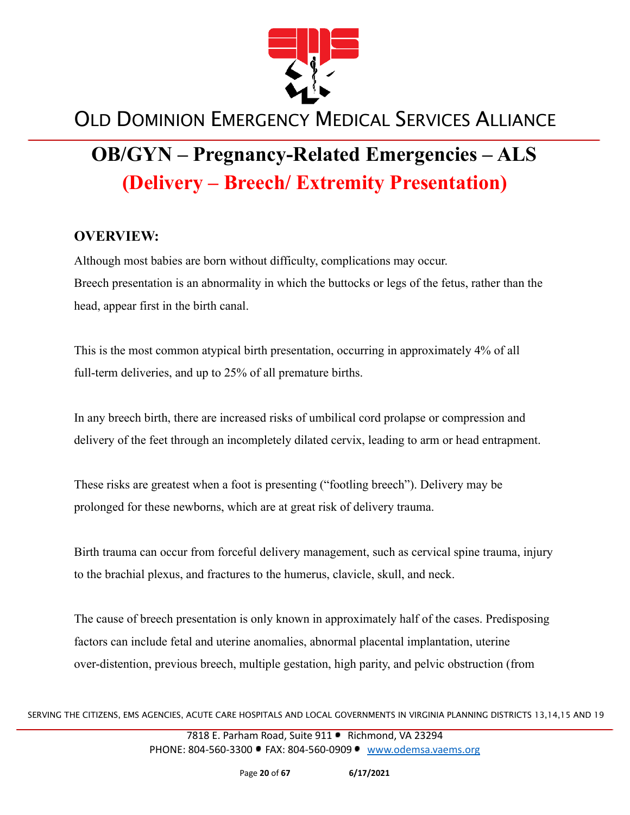

# **OB/GYN – Pregnancy-Related Emergencies – ALS (Delivery – Breech/ Extremity Presentation)**

#### **OVERVIEW:**

Although most babies are born without difficulty, complications may occur. Breech presentation is an abnormality in which the buttocks or legs of the fetus, rather than the head, appear first in the birth canal.

This is the most common atypical birth presentation, occurring in approximately 4% of all full-term deliveries, and up to 25% of all premature births.

In any breech birth, there are increased risks of umbilical cord prolapse or compression and delivery of the feet through an incompletely dilated cervix, leading to arm or head entrapment.

These risks are greatest when a foot is presenting ("footling breech"). Delivery may be prolonged for these newborns, which are at great risk of delivery trauma.

Birth trauma can occur from forceful delivery management, such as cervical spine trauma, injury to the brachial plexus, and fractures to the humerus, clavicle, skull, and neck.

The cause of breech presentation is only known in approximately half of the cases. Predisposing factors can include fetal and uterine anomalies, abnormal placental implantation, uterine over-distention, previous breech, multiple gestation, high parity, and pelvic obstruction (from

SERVING THE CITIZENS, EMS AGENCIES, ACUTE CARE HOSPITALS AND LOCAL GOVERNMENTS IN VIRGINIA PLANNING DISTRICTS 13,14,15 AND 19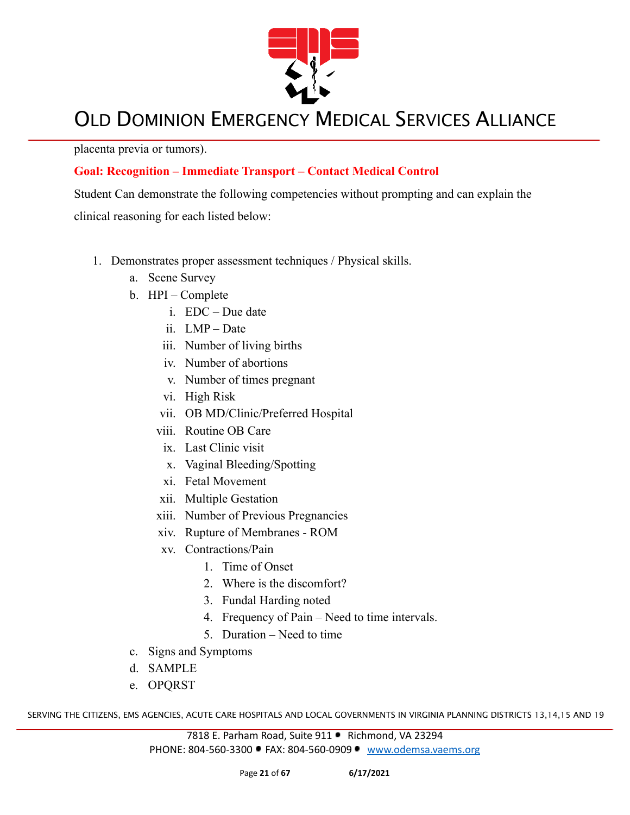

placenta previa or tumors).

#### **Goal: Recognition – Immediate Transport – Contact Medical Control**

Student Can demonstrate the following competencies without prompting and can explain the

clinical reasoning for each listed below:

- 1. Demonstrates proper assessment techniques / Physical skills.
	- a. Scene Survey
	- b. HPI Complete
		- i. EDC Due date
		- ii. LMP Date
		- iii. Number of living births
		- iv. Number of abortions
		- v. Number of times pregnant
		- vi. High Risk
		- vii. OB MD/Clinic/Preferred Hospital
		- viii. Routine OB Care
		- ix. Last Clinic visit
		- x. Vaginal Bleeding/Spotting
		- xi. Fetal Movement
		- xii. Multiple Gestation
		- xiii. Number of Previous Pregnancies
		- xiv. Rupture of Membranes ROM
		- xv. Contractions/Pain
			- 1. Time of Onset
			- 2. Where is the discomfort?
			- 3. Fundal Harding noted
			- 4. Frequency of Pain Need to time intervals.
			- 5. Duration Need to time
	- c. Signs and Symptoms
	- d. SAMPLE
	- e. OPQRST

SERVING THE CITIZENS, EMS AGENCIES, ACUTE CARE HOSPITALS AND LOCAL GOVERNMENTS IN VIRGINIA PLANNING DISTRICTS 13,14,15 AND 19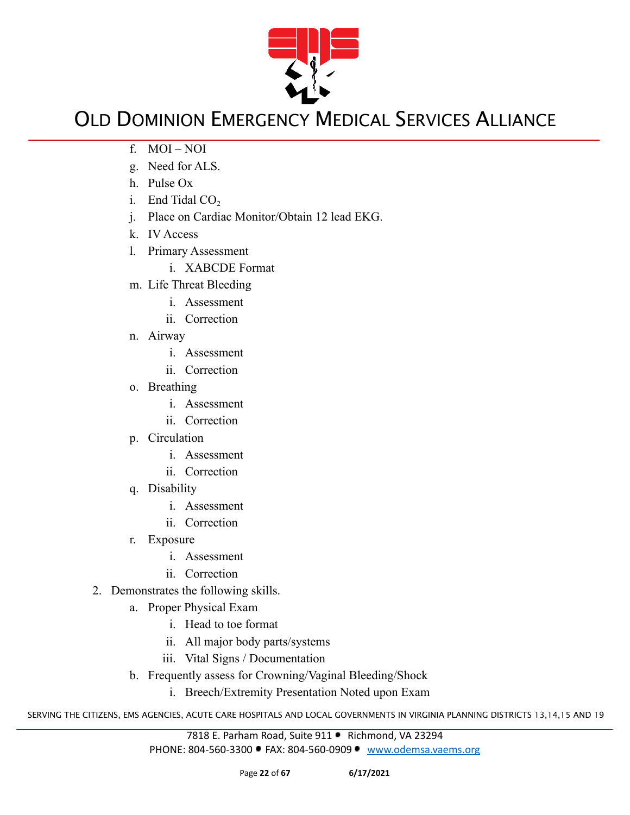

- f. MOI NOI
- g. Need for ALS.
- h. Pulse Ox
- i. End Tidal  $CO<sub>2</sub>$
- j. Place on Cardiac Monitor/Obtain 12 lead EKG.
- k. IV Access
- l. Primary Assessment
	- i. XABCDE Format
- m. Life Threat Bleeding
	- i. Assessment
	- ii. Correction
- n. Airway
	- i. Assessment
	- ii. Correction
- o. Breathing
	- i. Assessment
	- ii. Correction
- p. Circulation
	- i. Assessment
	- ii. Correction
- q. Disability
	- i. Assessment
	- ii. Correction
- r. Exposure
	- i. Assessment
	- ii. Correction
- 2. Demonstrates the following skills.
	- a. Proper Physical Exam
		- i. Head to toe format
		- ii. All major body parts/systems
		- iii. Vital Signs / Documentation
	- b. Frequently assess for Crowning/Vaginal Bleeding/Shock
		- i. Breech/Extremity Presentation Noted upon Exam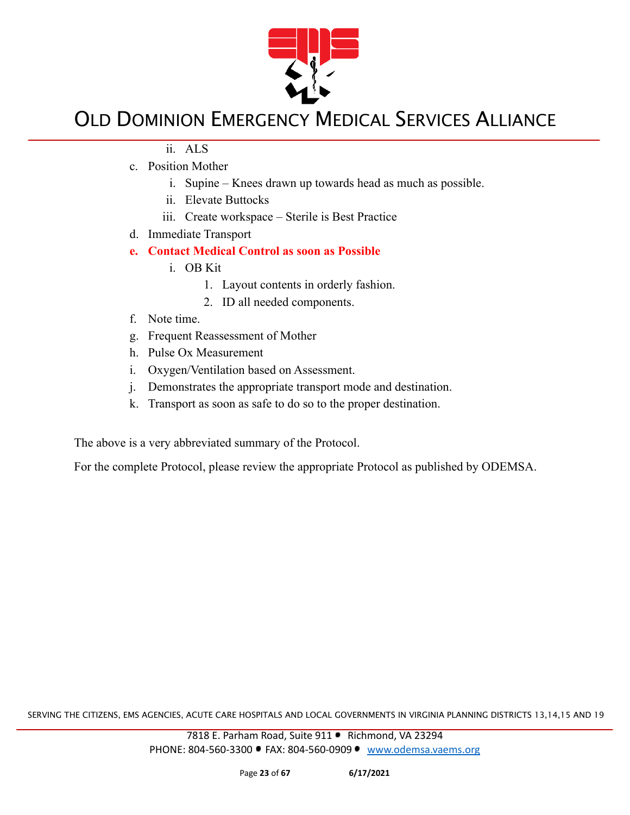

#### ii. ALS

c. Position Mother

- i. Supine Knees drawn up towards head as much as possible.
- ii. Elevate Buttocks
- iii. Create workspace Sterile is Best Practice
- d. Immediate Transport
- **e. Contact Medical Control as soon as Possible**
	- i. OB Kit
		- 1. Layout contents in orderly fashion.
		- 2. ID all needed components.
- f. Note time.
- g. Frequent Reassessment of Mother
- h. Pulse Ox Measurement
- i. Oxygen/Ventilation based on Assessment.
- j. Demonstrates the appropriate transport mode and destination.
- k. Transport as soon as safe to do so to the proper destination.

The above is a very abbreviated summary of the Protocol.

For the complete Protocol, please review the appropriate Protocol as published by ODEMSA.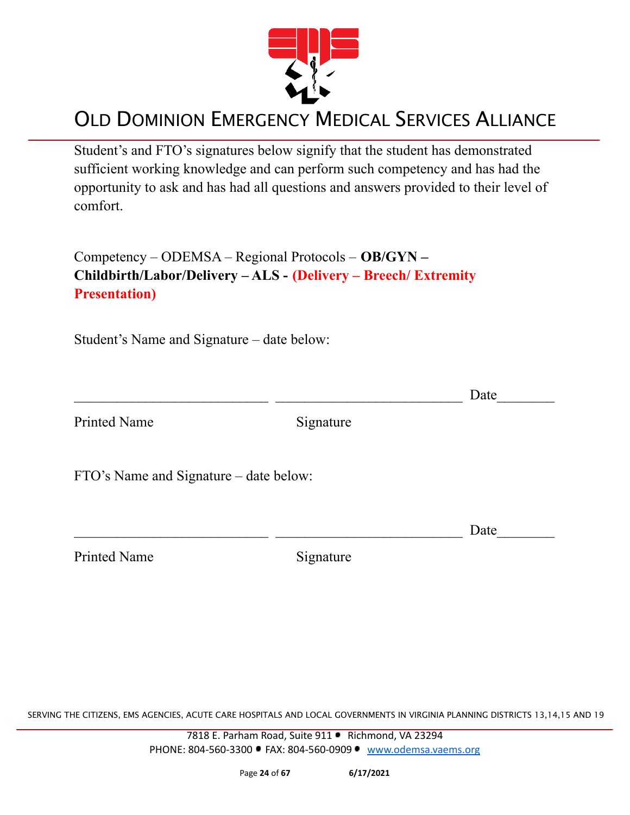

Student's and FTO's signatures below signify that the student has demonstrated sufficient working knowledge and can perform such competency and has had the opportunity to ask and has had all questions and answers provided to their level of comfort.

Competency – ODEMSA – Regional Protocols – **OB/GYN – Childbirth/Labor/Delivery – ALS - (Delivery – Breech/ Extremity Presentation)**

Student's Name and Signature – date below:

|                                        |           | Date |
|----------------------------------------|-----------|------|
| <b>Printed Name</b>                    | Signature |      |
| FTO's Name and Signature – date below: |           |      |
|                                        |           | Date |

Printed Name Signature

SERVING THE CITIZENS, EMS AGENCIES, ACUTE CARE HOSPITALS AND LOCAL GOVERNMENTS IN VIRGINIA PLANNING DISTRICTS 13,14,15 AND 19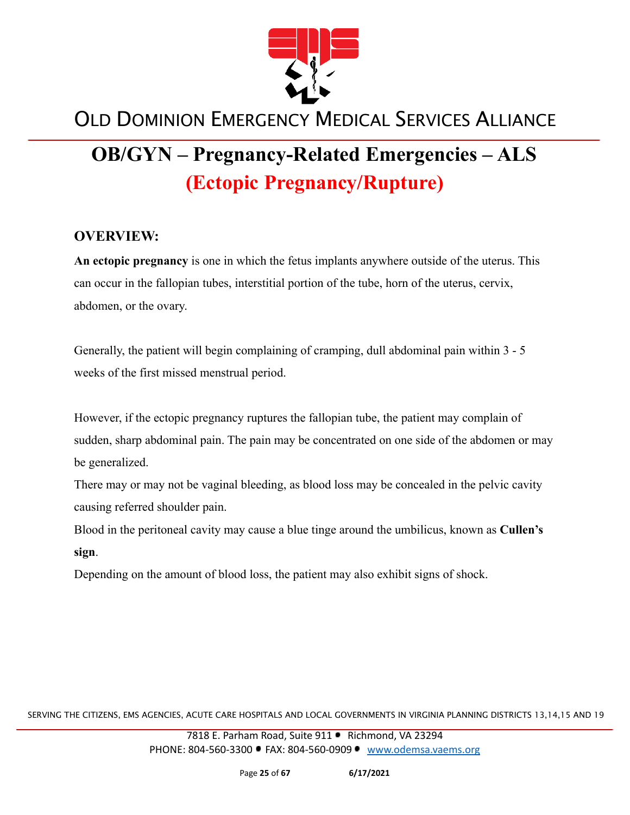

## **OB/GYN – Pregnancy-Related Emergencies – ALS (Ectopic Pregnancy/Rupture)**

#### **OVERVIEW:**

**An ectopic pregnancy** is one in which the fetus implants anywhere outside of the uterus. This can occur in the fallopian tubes, interstitial portion of the tube, horn of the uterus, cervix, abdomen, or the ovary.

Generally, the patient will begin complaining of cramping, dull abdominal pain within 3 - 5 weeks of the first missed menstrual period.

However, if the ectopic pregnancy ruptures the fallopian tube, the patient may complain of sudden, sharp abdominal pain. The pain may be concentrated on one side of the abdomen or may be generalized.

There may or may not be vaginal bleeding, as blood loss may be concealed in the pelvic cavity causing referred shoulder pain.

Blood in the peritoneal cavity may cause a blue tinge around the umbilicus, known as **Cullen's sign**.

Depending on the amount of blood loss, the patient may also exhibit signs of shock.

SERVING THE CITIZENS, EMS AGENCIES, ACUTE CARE HOSPITALS AND LOCAL GOVERNMENTS IN VIRGINIA PLANNING DISTRICTS 13,14,15 AND 19

7818 E. Parham Road, Suite 911 · Richmond, VA 23294 PHONE: 804-560-3300 FAX: 804-560-0909 [www.odemsa.vaems.org](http://www.odemsa.vaems.org)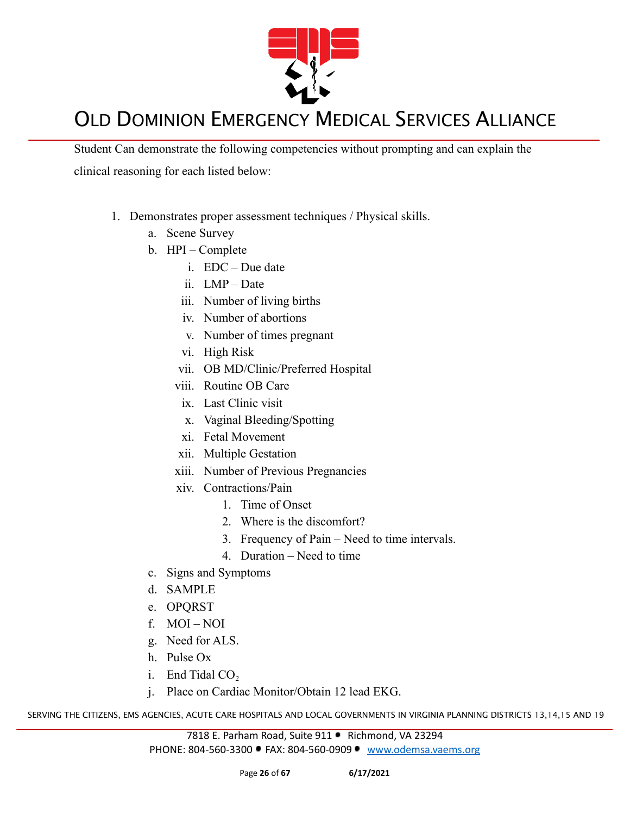

Student Can demonstrate the following competencies without prompting and can explain the clinical reasoning for each listed below:

- 1. Demonstrates proper assessment techniques / Physical skills.
	- a. Scene Survey
	- b. HPI Complete
		- i. EDC Due date
		- ii. LMP Date
		- iii. Number of living births
		- iv. Number of abortions
		- v. Number of times pregnant
		- vi. High Risk
		- vii. OB MD/Clinic/Preferred Hospital
		- viii. Routine OB Care
			- ix. Last Clinic visit
			- x. Vaginal Bleeding/Spotting
		- xi. Fetal Movement
		- xii. Multiple Gestation
		- xiii. Number of Previous Pregnancies
		- xiv. Contractions/Pain
			- 1. Time of Onset
			- 2. Where is the discomfort?
			- 3. Frequency of Pain Need to time intervals.
			- 4. Duration Need to time
	- c. Signs and Symptoms
	- d. SAMPLE
	- e. OPQRST
	- f. MOI NOI
	- g. Need for ALS.
	- h. Pulse Ox
	- i. End Tidal  $CO<sub>2</sub>$
	- j. Place on Cardiac Monitor/Obtain 12 lead EKG.

SERVING THE CITIZENS, EMS AGENCIES, ACUTE CARE HOSPITALS AND LOCAL GOVERNMENTS IN VIRGINIA PLANNING DISTRICTS 13,14,15 AND 19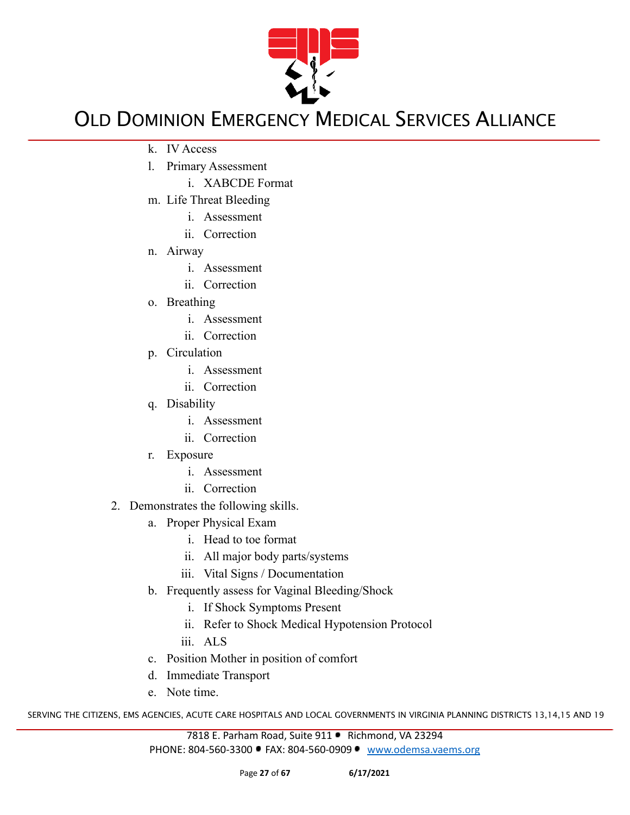

- k. IV Access
- l. Primary Assessment
	- i. XABCDE Format
- m. Life Threat Bleeding
	- i. Assessment
	- ii. Correction
- n. Airway
	- i. Assessment
	- ii. Correction
- o. Breathing
	- i. Assessment
	- ii. Correction
- p. Circulation
	- i. Assessment
	- ii. Correction
- q. Disability
	- i. Assessment
	- ii. Correction
- r. Exposure
	- i. Assessment
	- ii. Correction
- 2. Demonstrates the following skills.
	- a. Proper Physical Exam
		- i. Head to toe format
		- ii. All major body parts/systems
		- iii. Vital Signs / Documentation
	- b. Frequently assess for Vaginal Bleeding/Shock
		- i. If Shock Symptoms Present
		- ii. Refer to Shock Medical Hypotension Protocol
		- iii. ALS
	- c. Position Mother in position of comfort
	- d. Immediate Transport
	- e. Note time.

SERVING THE CITIZENS, EMS AGENCIES, ACUTE CARE HOSPITALS AND LOCAL GOVERNMENTS IN VIRGINIA PLANNING DISTRICTS 13,14,15 AND 19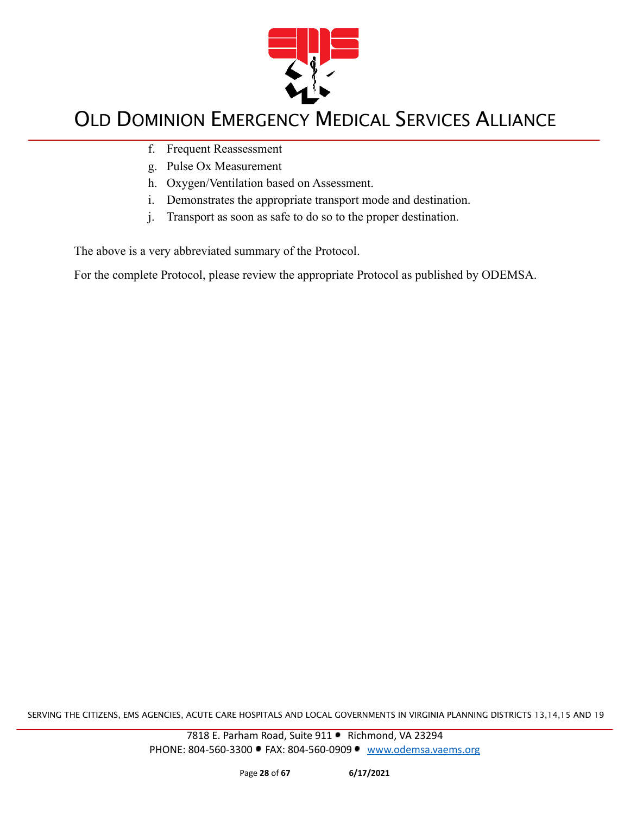

- f. Frequent Reassessment
- g. Pulse Ox Measurement
- h. Oxygen/Ventilation based on Assessment.
- i. Demonstrates the appropriate transport mode and destination.
- j. Transport as soon as safe to do so to the proper destination.

The above is a very abbreviated summary of the Protocol.

For the complete Protocol, please review the appropriate Protocol as published by ODEMSA.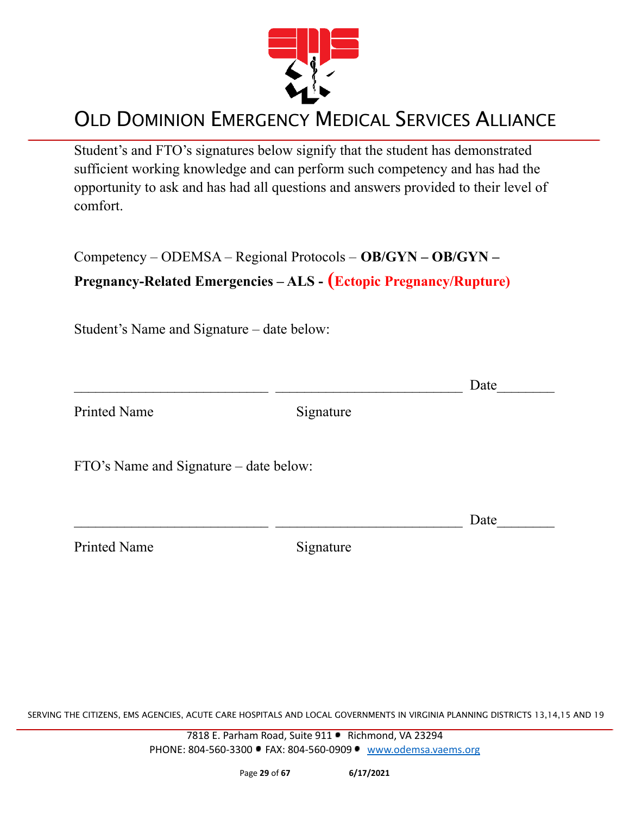

Student's and FTO's signatures below signify that the student has demonstrated sufficient working knowledge and can perform such competency and has had the opportunity to ask and has had all questions and answers provided to their level of comfort.

Competency – ODEMSA – Regional Protocols – **OB/GYN – OB/GYN –**

### **Pregnancy-Related Emergencies – ALS - (Ectopic Pregnancy/Rupture)**

Student's Name and Signature – date below:

|                                        |           | Date |
|----------------------------------------|-----------|------|
| <b>Printed Name</b>                    | Signature |      |
| FTO's Name and Signature – date below: |           |      |
|                                        |           | Date |
| <b>Printed Name</b>                    | Signature |      |
|                                        |           |      |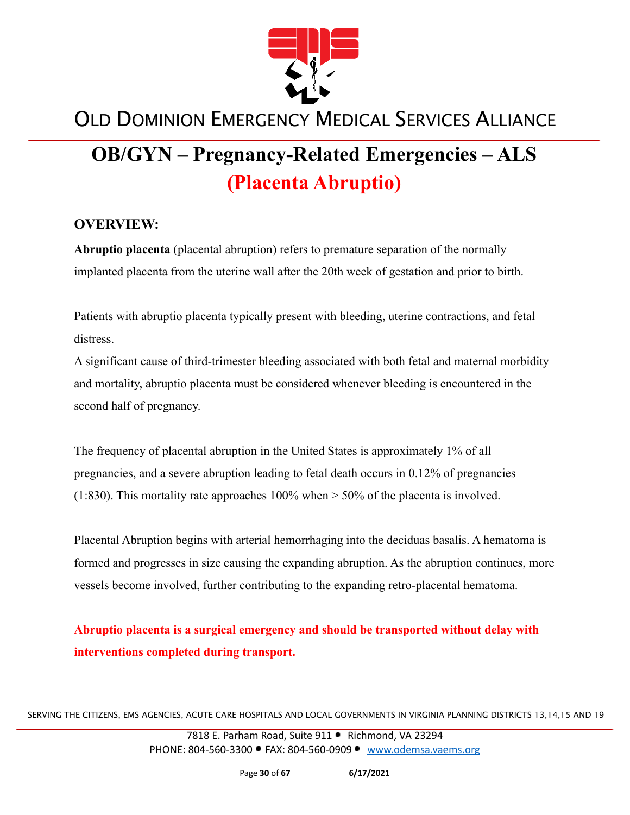

## **OB/GYN – Pregnancy-Related Emergencies – ALS (Placenta Abruptio)**

#### **OVERVIEW:**

**Abruptio placenta** (placental abruption) refers to premature separation of the normally implanted placenta from the uterine wall after the 20th week of gestation and prior to birth.

Patients with abruptio placenta typically present with bleeding, uterine contractions, and fetal distress.

A significant cause of third-trimester bleeding associated with both fetal and maternal morbidity and mortality, abruptio placenta must be considered whenever bleeding is encountered in the second half of pregnancy.

The frequency of placental abruption in the United States is approximately 1% of all pregnancies, and a severe abruption leading to fetal death occurs in 0.12% of pregnancies (1:830). This mortality rate approaches  $100\%$  when  $> 50\%$  of the placenta is involved.

Placental Abruption begins with arterial hemorrhaging into the deciduas basalis. A hematoma is formed and progresses in size causing the expanding abruption. As the abruption continues, more vessels become involved, further contributing to the expanding retro-placental hematoma.

**Abruptio placenta is a surgical emergency and should be transported without delay with interventions completed during transport.**

SERVING THE CITIZENS, EMS AGENCIES, ACUTE CARE HOSPITALS AND LOCAL GOVERNMENTS IN VIRGINIA PLANNING DISTRICTS 13,14,15 AND 19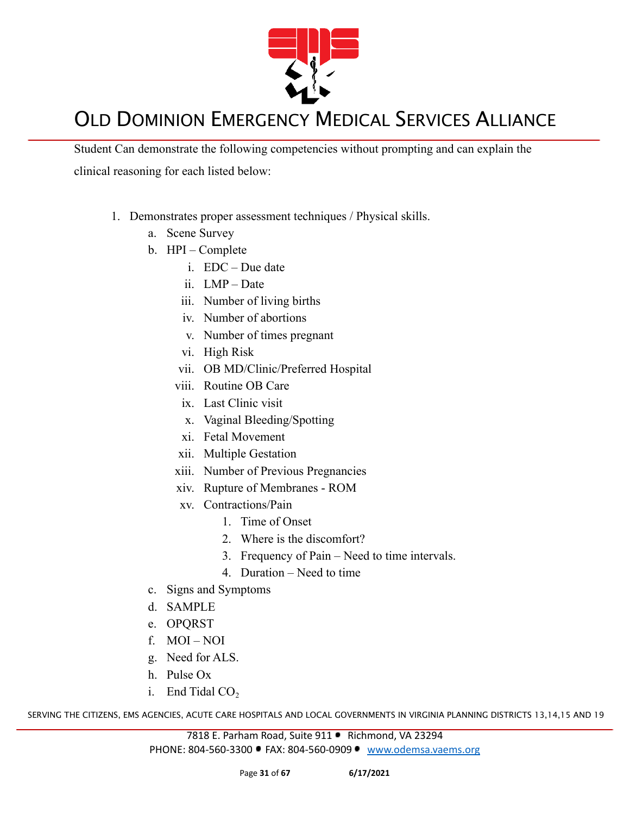

Student Can demonstrate the following competencies without prompting and can explain the clinical reasoning for each listed below:

- 1. Demonstrates proper assessment techniques / Physical skills.
	- a. Scene Survey
	- b. HPI Complete
		- i. EDC Due date
		- ii. LMP Date
		- iii. Number of living births
		- iv. Number of abortions
		- v. Number of times pregnant
		- vi. High Risk
		- vii. OB MD/Clinic/Preferred Hospital
		- viii. Routine OB Care
			- ix. Last Clinic visit
			- x. Vaginal Bleeding/Spotting
		- xi. Fetal Movement
		- xii. Multiple Gestation
		- xiii. Number of Previous Pregnancies
		- xiv. Rupture of Membranes ROM
		- xv. Contractions/Pain
			- 1. Time of Onset
			- 2. Where is the discomfort?
			- 3. Frequency of Pain Need to time intervals.
			- 4. Duration Need to time
	- c. Signs and Symptoms
	- d. SAMPLE
	- e. OPQRST
	- f. MOI NOI
	- g. Need for ALS.
	- h. Pulse Ox
	- i. End Tidal  $CO<sub>2</sub>$

SERVING THE CITIZENS, EMS AGENCIES, ACUTE CARE HOSPITALS AND LOCAL GOVERNMENTS IN VIRGINIA PLANNING DISTRICTS 13,14,15 AND 19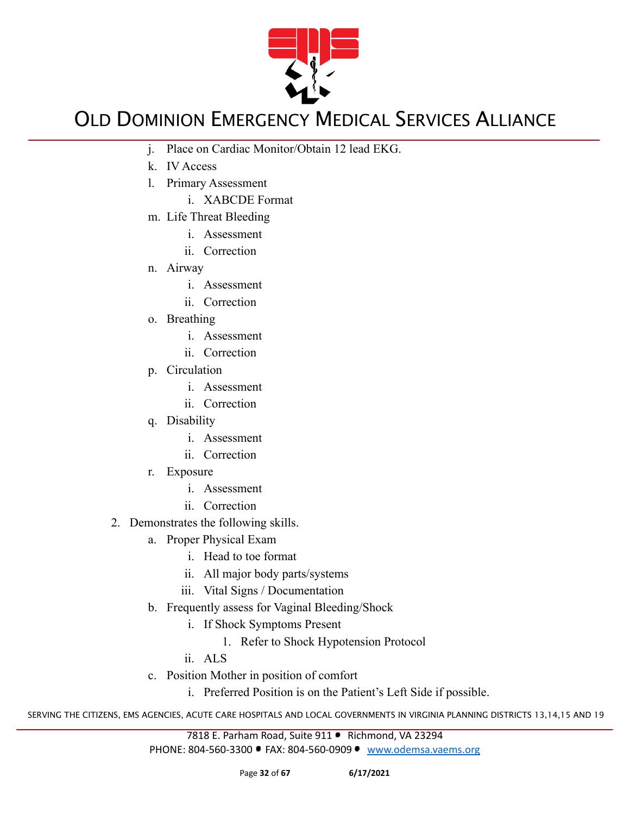

- j. Place on Cardiac Monitor/Obtain 12 lead EKG.
- k. IV Access
- l. Primary Assessment
	- i. XABCDE Format
- m. Life Threat Bleeding
	- i. Assessment
	- ii. Correction
- n. Airway
	- i. Assessment
	- ii. Correction
- o. Breathing
	- i. Assessment
	- ii. Correction
- p. Circulation
	- i. Assessment
	- ii. Correction
- q. Disability
	- i. Assessment
	- ii. Correction
- r. Exposure
	- i. Assessment
	- ii. Correction
- 2. Demonstrates the following skills.
	- a. Proper Physical Exam
		- i. Head to toe format
		- ii. All major body parts/systems
		- iii. Vital Signs / Documentation
	- b. Frequently assess for Vaginal Bleeding/Shock
		- i. If Shock Symptoms Present
			- 1. Refer to Shock Hypotension Protocol
		- ii. ALS
	- c. Position Mother in position of comfort
		- i. Preferred Position is on the Patient's Left Side if possible.

SERVING THE CITIZENS, EMS AGENCIES, ACUTE CARE HOSPITALS AND LOCAL GOVERNMENTS IN VIRGINIA PLANNING DISTRICTS 13,14,15 AND 19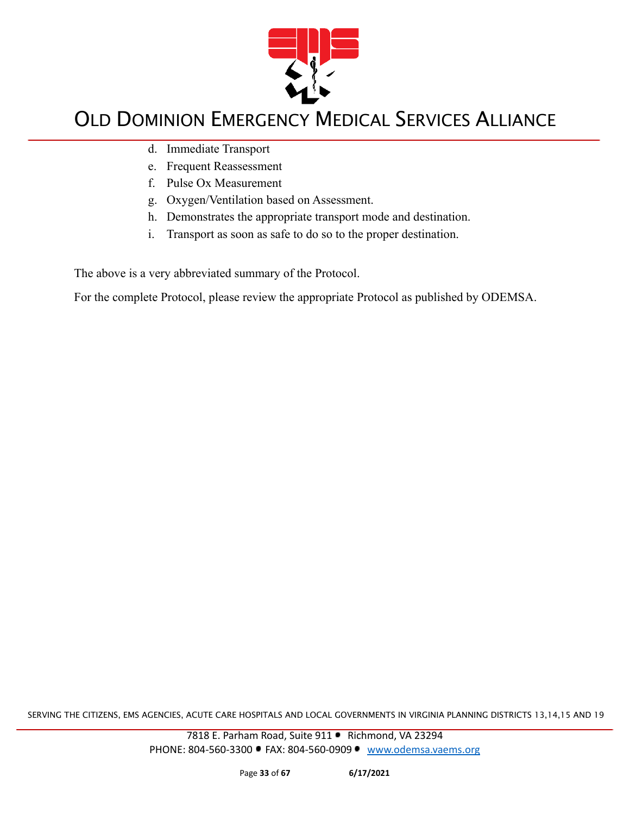

- d. Immediate Transport
- e. Frequent Reassessment
- f. Pulse Ox Measurement
- g. Oxygen/Ventilation based on Assessment.
- h. Demonstrates the appropriate transport mode and destination.
- i. Transport as soon as safe to do so to the proper destination.

The above is a very abbreviated summary of the Protocol.

For the complete Protocol, please review the appropriate Protocol as published by ODEMSA.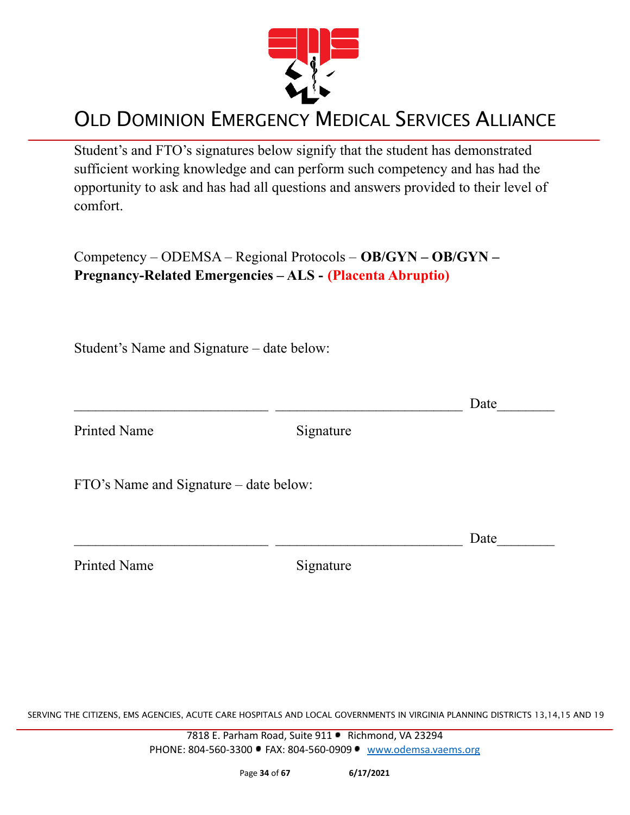

Student's and FTO's signatures below signify that the student has demonstrated sufficient working knowledge and can perform such competency and has had the opportunity to ask and has had all questions and answers provided to their level of comfort.

Competency – ODEMSA – Regional Protocols – **OB/GYN – OB/GYN – Pregnancy-Related Emergencies – ALS - (Placenta Abruptio)**

Student's Name and Signature – date below:

 $\Box$  Date Printed Name Signature FTO's Name and Signature – date below:  $\Box$  Date Printed Name Signature

SERVING THE CITIZENS, EMS AGENCIES, ACUTE CARE HOSPITALS AND LOCAL GOVERNMENTS IN VIRGINIA PLANNING DISTRICTS 13,14,15 AND 19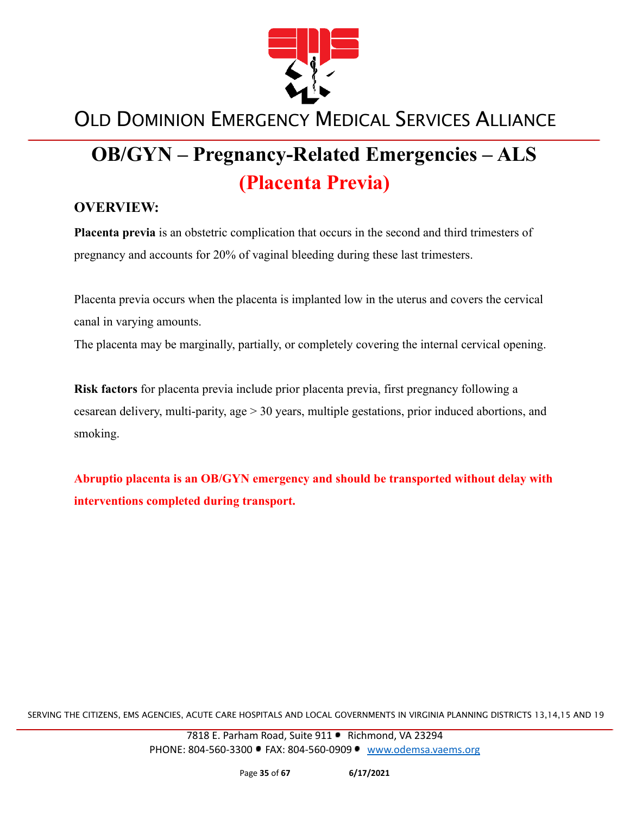

# **OB/GYN – Pregnancy-Related Emergencies – ALS (Placenta Previa)**

#### **OVERVIEW:**

**Placenta previa** is an obstetric complication that occurs in the second and third trimesters of pregnancy and accounts for 20% of vaginal bleeding during these last trimesters.

Placenta previa occurs when the placenta is implanted low in the uterus and covers the cervical canal in varying amounts.

The placenta may be marginally, partially, or completely covering the internal cervical opening.

**Risk factors** for placenta previa include prior placenta previa, first pregnancy following a cesarean delivery, multi-parity, age > 30 years, multiple gestations, prior induced abortions, and smoking.

**Abruptio placenta is an OB/GYN emergency and should be transported without delay with interventions completed during transport.**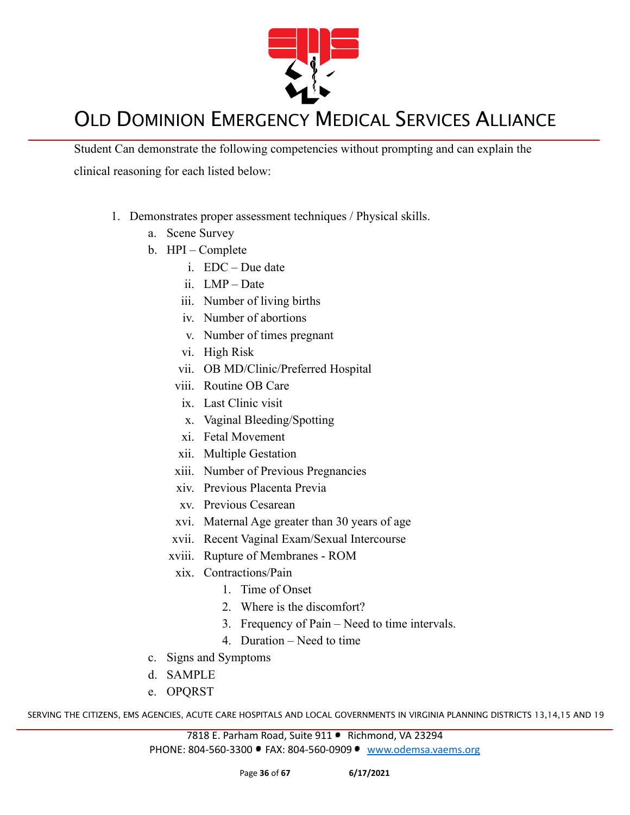

Student Can demonstrate the following competencies without prompting and can explain the clinical reasoning for each listed below:

- 1. Demonstrates proper assessment techniques / Physical skills.
	- a. Scene Survey
	- b. HPI Complete
		- i. EDC Due date
		- ii. LMP Date
		- iii. Number of living births
		- iv. Number of abortions
		- v. Number of times pregnant
		- vi. High Risk
		- vii. OB MD/Clinic/Preferred Hospital
		- viii. Routine OB Care
			- ix. Last Clinic visit
			- x. Vaginal Bleeding/Spotting
		- xi. Fetal Movement
		- xii. Multiple Gestation
		- xiii. Number of Previous Pregnancies
		- xiv. Previous Placenta Previa
		- xv. Previous Cesarean
		- xvi. Maternal Age greater than 30 years of age
		- xvii. Recent Vaginal Exam/Sexual Intercourse
		- xviii. Rupture of Membranes ROM
			- xix. Contractions/Pain
				- 1. Time of Onset
				- 2. Where is the discomfort?
				- 3. Frequency of Pain Need to time intervals.
				- 4. Duration Need to time
	- c. Signs and Symptoms
	- d. SAMPLE
	- e. OPQRST

SERVING THE CITIZENS, EMS AGENCIES, ACUTE CARE HOSPITALS AND LOCAL GOVERNMENTS IN VIRGINIA PLANNING DISTRICTS 13,14,15 AND 19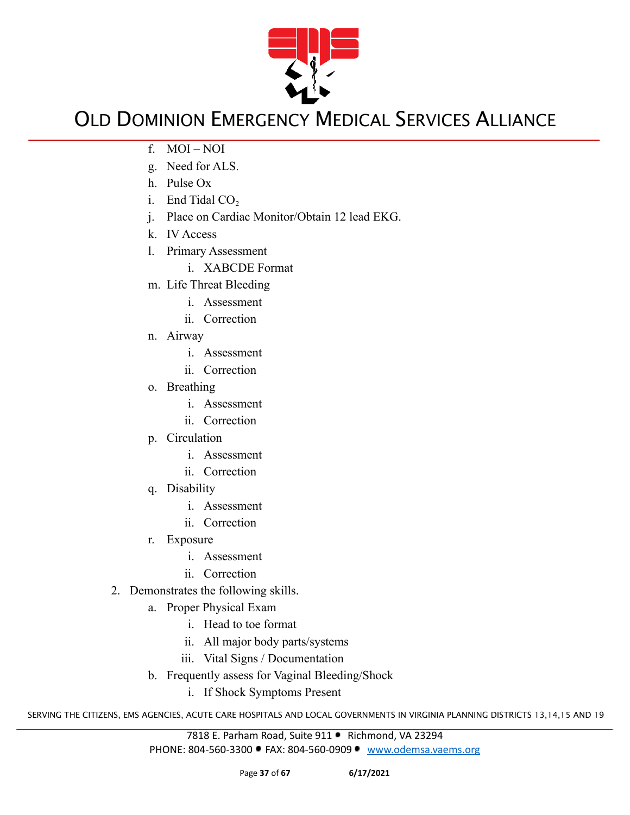

- f. MOI NOI
- g. Need for ALS.
- h. Pulse Ox
- i. End Tidal  $CO<sub>2</sub>$
- j. Place on Cardiac Monitor/Obtain 12 lead EKG.
- k. IV Access
- l. Primary Assessment
	- i. XABCDE Format
- m. Life Threat Bleeding
	- i. Assessment
	- ii. Correction
- n. Airway
	- i. Assessment
	- ii. Correction
- o. Breathing
	- i. Assessment
	- ii. Correction
- p. Circulation
	- i. Assessment
	- ii. Correction
- q. Disability
	- i. Assessment
	- ii. Correction
- r. Exposure
	- i. Assessment
	- ii. Correction
- 2. Demonstrates the following skills.
	- a. Proper Physical Exam
		- i. Head to toe format
		- ii. All major body parts/systems
		- iii. Vital Signs / Documentation
	- b. Frequently assess for Vaginal Bleeding/Shock
		- i. If Shock Symptoms Present

SERVING THE CITIZENS, EMS AGENCIES, ACUTE CARE HOSPITALS AND LOCAL GOVERNMENTS IN VIRGINIA PLANNING DISTRICTS 13,14,15 AND 19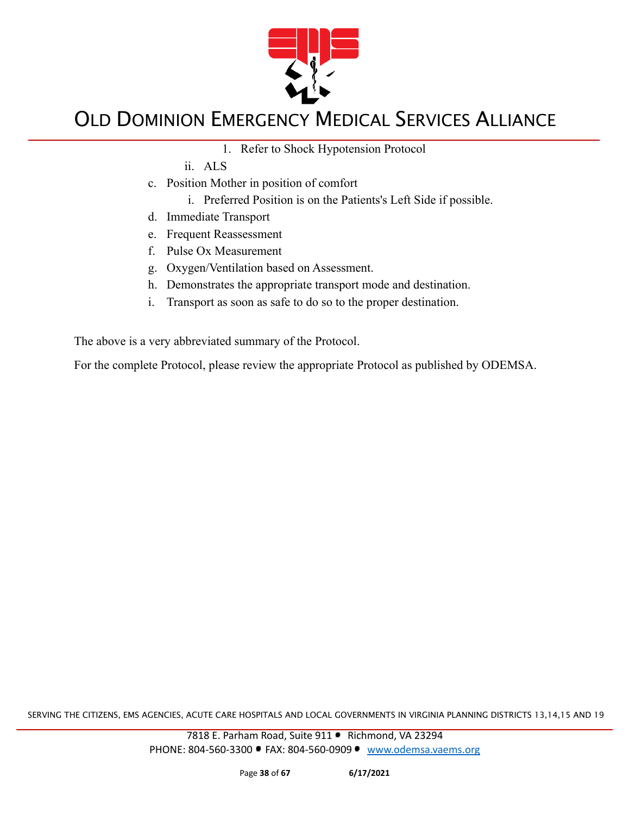

1. Refer to Shock Hypotension Protocol

ii. ALS

- c. Position Mother in position of comfort
	- i. Preferred Position is on the Patients's Left Side if possible.
- d. Immediate Transport
- e. Frequent Reassessment
- f. Pulse Ox Measurement
- g. Oxygen/Ventilation based on Assessment.
- h. Demonstrates the appropriate transport mode and destination.
- i. Transport as soon as safe to do so to the proper destination.

The above is a very abbreviated summary of the Protocol.

For the complete Protocol, please review the appropriate Protocol as published by ODEMSA.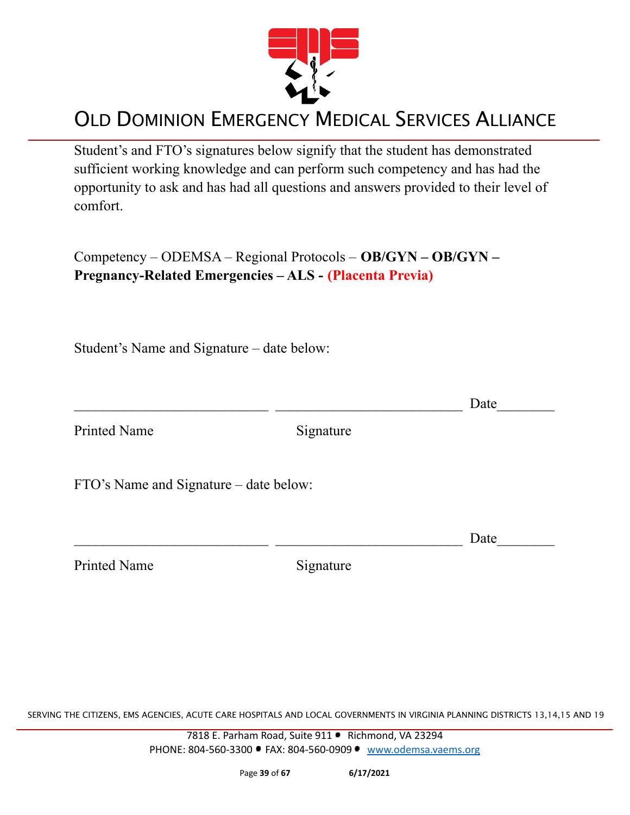

Student's and FTO's signatures below signify that the student has demonstrated sufficient working knowledge and can perform such competency and has had the opportunity to ask and has had all questions and answers provided to their level of comfort.

Competency – ODEMSA – Regional Protocols – **OB/GYN – OB/GYN – Pregnancy-Related Emergencies – ALS - (Placenta Previa)**

Student's Name and Signature – date below:

 $\Box$  Date Printed Name Signature FTO's Name and Signature – date below:  $\Box$  Date

Printed Name Signature

SERVING THE CITIZENS, EMS AGENCIES, ACUTE CARE HOSPITALS AND LOCAL GOVERNMENTS IN VIRGINIA PLANNING DISTRICTS 13,14,15 AND 19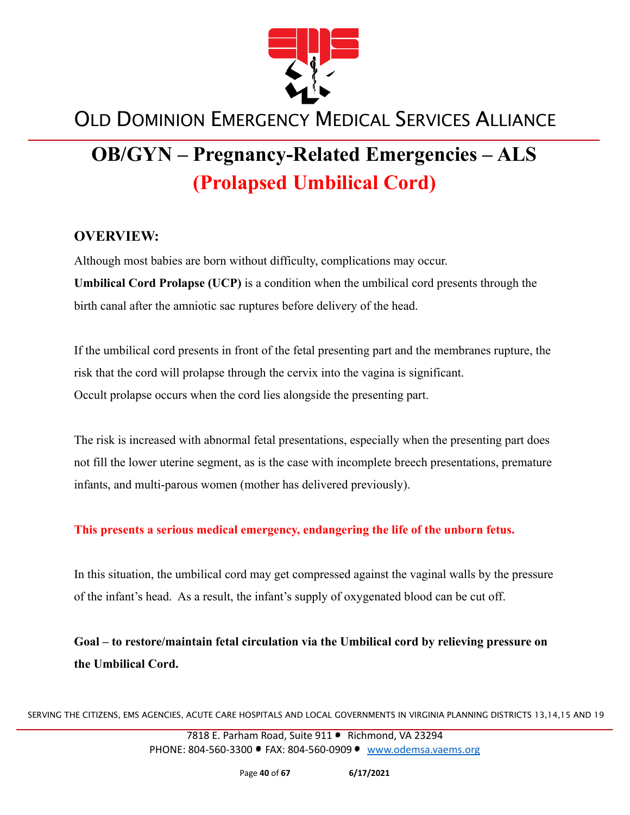

## **OB/GYN – Pregnancy-Related Emergencies – ALS (Prolapsed Umbilical Cord)**

#### **OVERVIEW:**

Although most babies are born without difficulty, complications may occur. **Umbilical Cord Prolapse (UCP)** is a condition when the umbilical cord presents through the birth canal after the amniotic sac ruptures before delivery of the head.

If the umbilical cord presents in front of the fetal presenting part and the membranes rupture, the risk that the cord will prolapse through the cervix into the vagina is significant. Occult prolapse occurs when the cord lies alongside the presenting part.

The risk is increased with abnormal fetal presentations, especially when the presenting part does not fill the lower uterine segment, as is the case with incomplete breech presentations, premature infants, and multi-parous women (mother has delivered previously).

**This presents a serious medical emergency, endangering the life of the unborn fetus.**

In this situation, the umbilical cord may get compressed against the vaginal walls by the pressure of the infant's head. As a result, the infant's supply of oxygenated blood can be cut off.

**Goal – to restore/maintain fetal circulation via the Umbilical cord by relieving pressure on the Umbilical Cord.**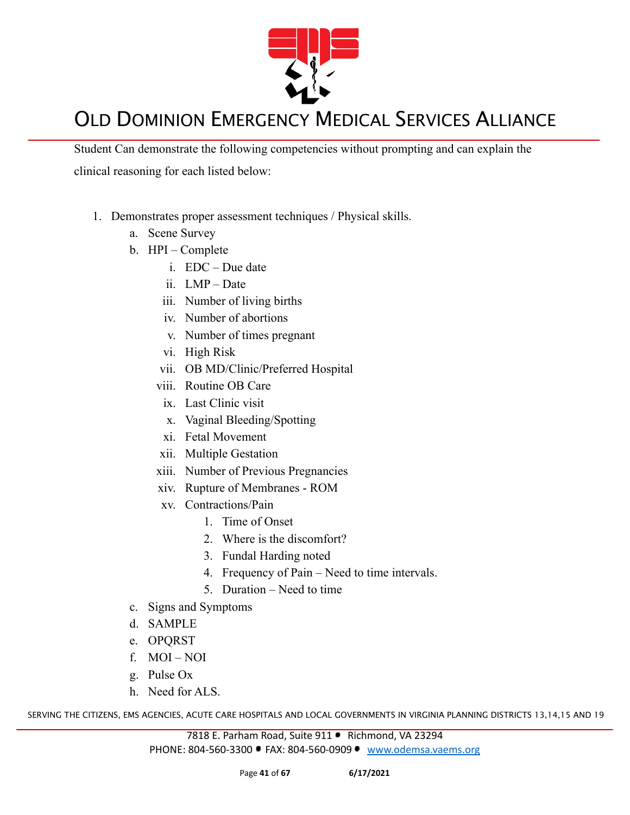

Student Can demonstrate the following competencies without prompting and can explain the clinical reasoning for each listed below:

- 1. Demonstrates proper assessment techniques / Physical skills.
	- a. Scene Survey
	- b. HPI Complete
		- i. EDC Due date
		- ii. LMP Date
		- iii. Number of living births
		- iv. Number of abortions
		- v. Number of times pregnant
		- vi. High Risk
		- vii. OB MD/Clinic/Preferred Hospital
		- viii. Routine OB Care
		- ix. Last Clinic visit
		- x. Vaginal Bleeding/Spotting
		- xi. Fetal Movement
		- xii. Multiple Gestation
		- xiii. Number of Previous Pregnancies
		- xiv. Rupture of Membranes ROM
		- xv. Contractions/Pain
			- 1. Time of Onset
			- 2. Where is the discomfort?
			- 3. Fundal Harding noted
			- 4. Frequency of Pain Need to time intervals.
			- 5. Duration Need to time
	- c. Signs and Symptoms
	- d. SAMPLE
	- e. OPQRST
	- f. MOI NOI
	- g. Pulse Ox
	- h. Need for ALS.

SERVING THE CITIZENS, EMS AGENCIES, ACUTE CARE HOSPITALS AND LOCAL GOVERNMENTS IN VIRGINIA PLANNING DISTRICTS 13,14,15 AND 19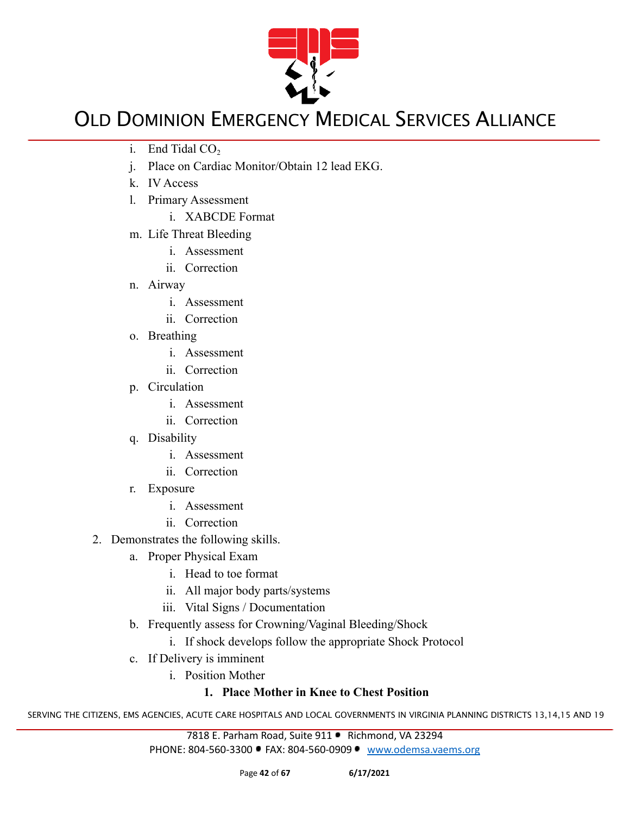

- i. End Tidal  $CO<sub>2</sub>$
- j. Place on Cardiac Monitor/Obtain 12 lead EKG.
- k. IV Access
- l. Primary Assessment
	- i. XABCDE Format
- m. Life Threat Bleeding
	- i. Assessment
	- ii. Correction
- n. Airway
	- i. Assessment
	- ii. Correction
- o. Breathing
	- i. Assessment
	- ii. Correction
- p. Circulation
	- i. Assessment
	- ii. Correction
- q. Disability
	- i. Assessment
	- ii. Correction
- r. Exposure
	- i. Assessment
	- ii. Correction
- 2. Demonstrates the following skills.
	- a. Proper Physical Exam
		- i. Head to toe format
		- ii. All major body parts/systems
		- iii. Vital Signs / Documentation
	- b. Frequently assess for Crowning/Vaginal Bleeding/Shock
		- i. If shock develops follow the appropriate Shock Protocol
	- c. If Delivery is imminent
		- i. Position Mother

#### **1. Place Mother in Knee to Chest Position**

SERVING THE CITIZENS, EMS AGENCIES, ACUTE CARE HOSPITALS AND LOCAL GOVERNMENTS IN VIRGINIA PLANNING DISTRICTS 13,14,15 AND 19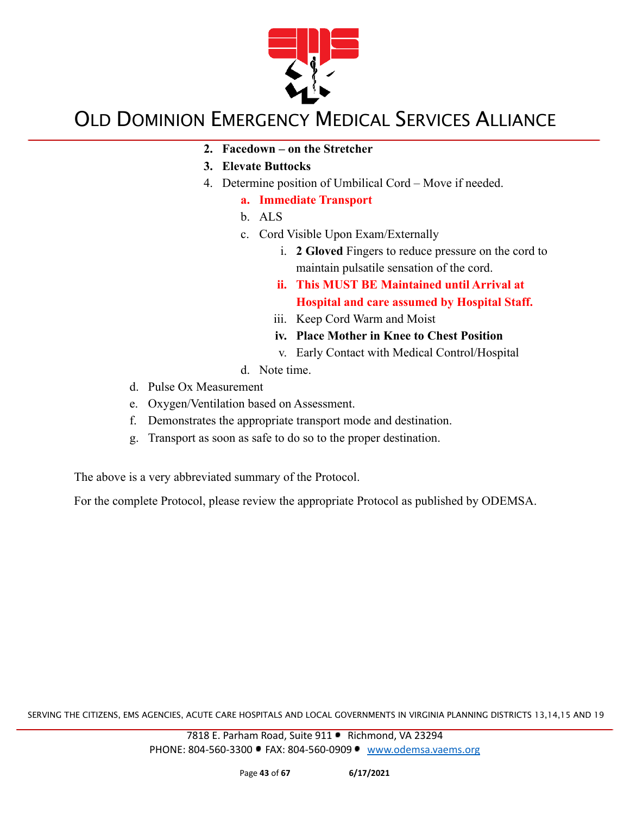

- **2. Facedown on the Stretcher**
- **3. Elevate Buttocks**
- 4. Determine position of Umbilical Cord Move if needed.
	- **a. Immediate Transport**
	- b. ALS
	- c. Cord Visible Upon Exam/Externally
		- i. **2 Gloved** Fingers to reduce pressure on the cord to maintain pulsatile sensation of the cord.
		- **ii. This MUST BE Maintained until Arrival at Hospital and care assumed by Hospital Staff.**
		- iii. Keep Cord Warm and Moist
		- **iv. Place Mother in Knee to Chest Position**
		- v. Early Contact with Medical Control/Hospital
	- d. Note time.
- d. Pulse Ox Measurement
- e. Oxygen/Ventilation based on Assessment.
- f. Demonstrates the appropriate transport mode and destination.
- g. Transport as soon as safe to do so to the proper destination.

The above is a very abbreviated summary of the Protocol.

For the complete Protocol, please review the appropriate Protocol as published by ODEMSA.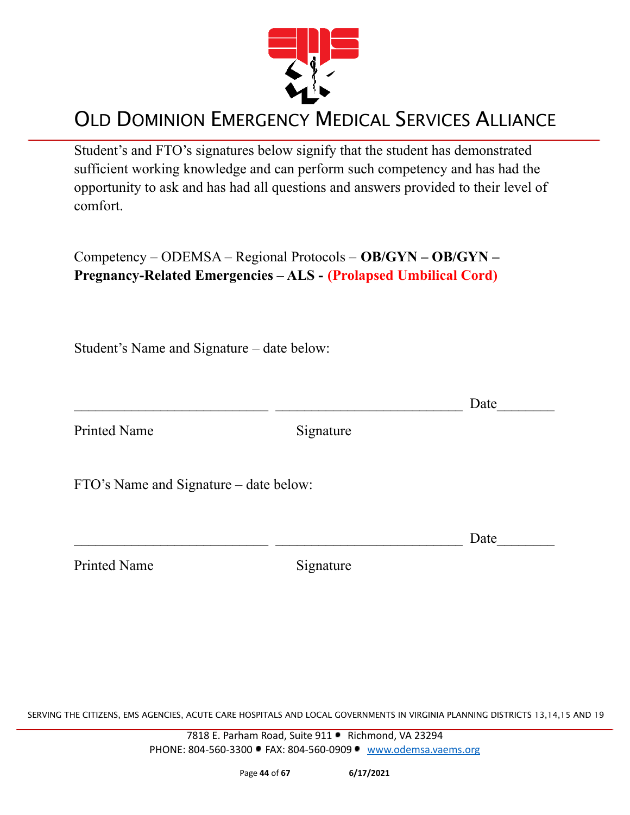

Student's and FTO's signatures below signify that the student has demonstrated sufficient working knowledge and can perform such competency and has had the opportunity to ask and has had all questions and answers provided to their level of comfort.

Competency – ODEMSA – Regional Protocols – **OB/GYN – OB/GYN – Pregnancy-Related Emergencies – ALS - (Prolapsed Umbilical Cord)**

Student's Name and Signature – date below:

|                                        |           | Date |
|----------------------------------------|-----------|------|
| <b>Printed Name</b>                    | Signature |      |
| FTO's Name and Signature – date below: |           |      |
|                                        |           | Date |
| <b>Printed Name</b>                    | Signature |      |

SERVING THE CITIZENS, EMS AGENCIES, ACUTE CARE HOSPITALS AND LOCAL GOVERNMENTS IN VIRGINIA PLANNING DISTRICTS 13,14,15 AND 19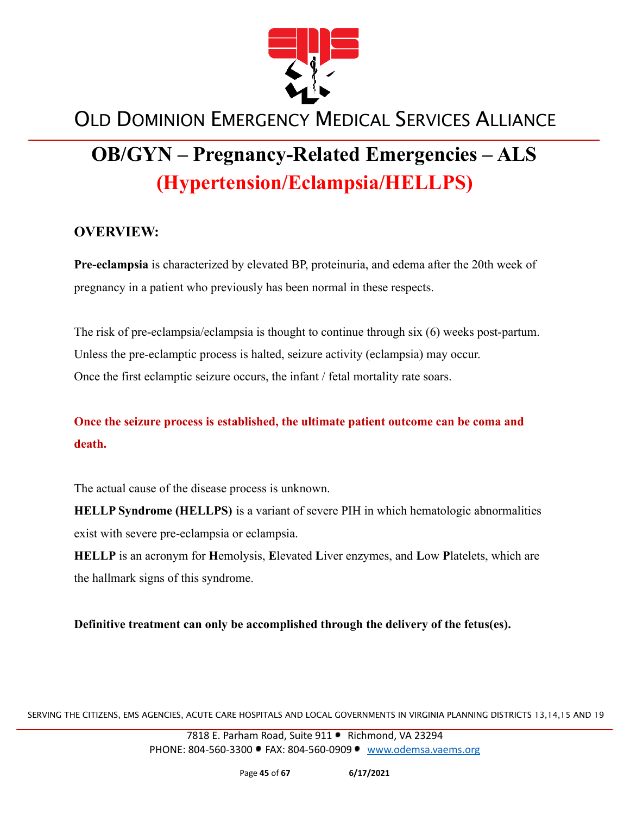

## **OB/GYN – Pregnancy-Related Emergencies – ALS (Hypertension/Eclampsia/HELLPS)**

#### **OVERVIEW:**

**Pre-eclampsia** is characterized by elevated BP, proteinuria, and edema after the 20th week of pregnancy in a patient who previously has been normal in these respects.

The risk of pre-eclampsia/eclampsia is thought to continue through six (6) weeks post-partum. Unless the pre-eclamptic process is halted, seizure activity (eclampsia) may occur. Once the first eclamptic seizure occurs, the infant / fetal mortality rate soars.

### **Once the seizure process is established, the ultimate patient outcome can be coma and death.**

The actual cause of the disease process is unknown.

**HELLP Syndrome (HELLPS)** is a variant of severe PIH in which hematologic abnormalities exist with severe pre-eclampsia or eclampsia.

**HELLP** is an acronym for **H**emolysis, **E**levated **L**iver enzymes, and **L**ow **P**latelets, which are the hallmark signs of this syndrome.

**Definitive treatment can only be accomplished through the delivery of the fetus(es).**

SERVING THE CITIZENS, EMS AGENCIES, ACUTE CARE HOSPITALS AND LOCAL GOVERNMENTS IN VIRGINIA PLANNING DISTRICTS 13,14,15 AND 19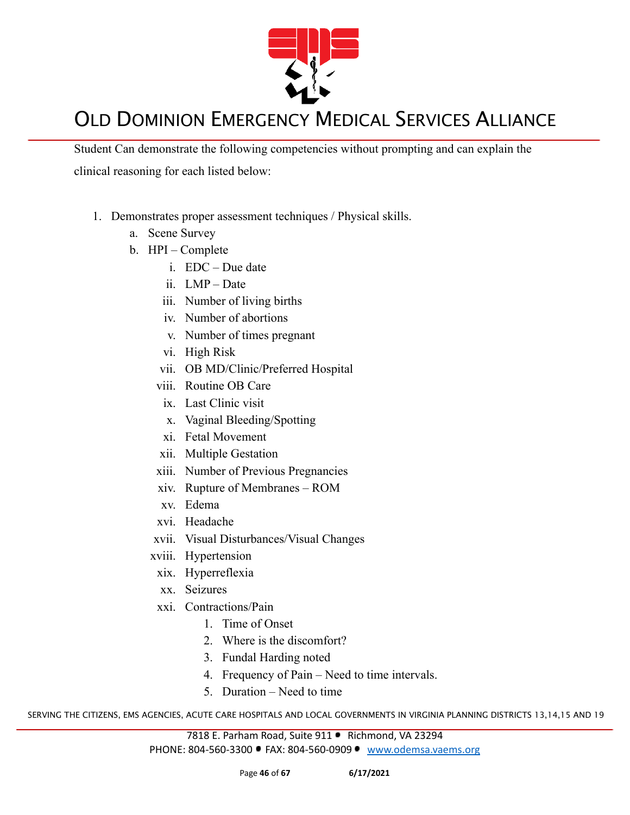

Student Can demonstrate the following competencies without prompting and can explain the clinical reasoning for each listed below:

- 1. Demonstrates proper assessment techniques / Physical skills.
	- a. Scene Survey
	- b. HPI Complete
		- i. EDC Due date
		- ii. LMP Date
		- iii. Number of living births
		- iv. Number of abortions
		- v. Number of times pregnant
		- vi. High Risk
		- vii. OB MD/Clinic/Preferred Hospital
		- viii. Routine OB Care
		- ix. Last Clinic visit
		- x. Vaginal Bleeding/Spotting
		- xi. Fetal Movement
		- xii. Multiple Gestation
		- xiii. Number of Previous Pregnancies
		- xiv. Rupture of Membranes ROM
		- xv. Edema
		- xvi. Headache
		- xvii. Visual Disturbances/Visual Changes
		- xviii. Hypertension
		- xix. Hyperreflexia
		- xx. Seizures
		- xxi. Contractions/Pain
			- 1. Time of Onset
			- 2. Where is the discomfort?
			- 3. Fundal Harding noted
			- 4. Frequency of Pain Need to time intervals.
			- 5. Duration Need to time

SERVING THE CITIZENS, EMS AGENCIES, ACUTE CARE HOSPITALS AND LOCAL GOVERNMENTS IN VIRGINIA PLANNING DISTRICTS 13,14,15 AND 19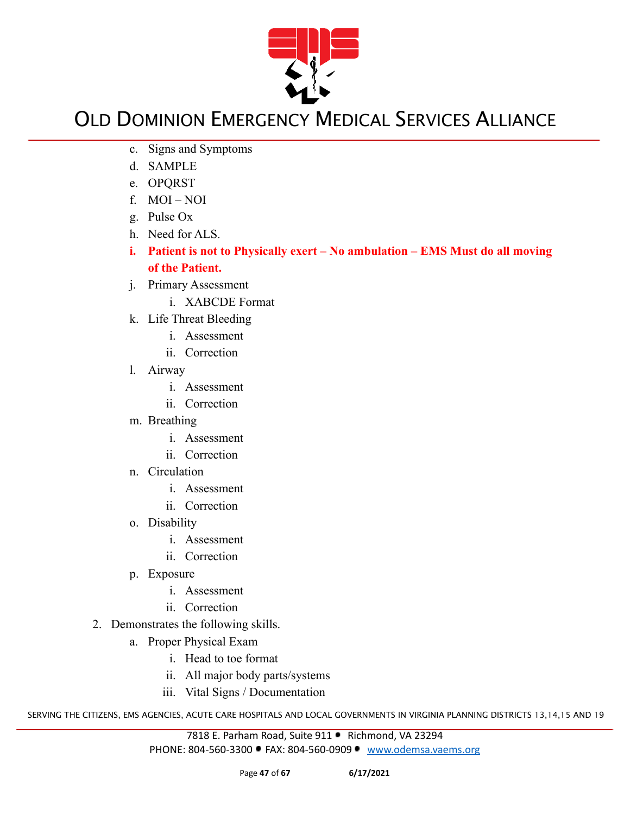

- c. Signs and Symptoms
- d. SAMPLE
- e. OPQRST
- f. MOI NOI
- g. Pulse Ox
- h. Need for ALS.
- **i. Patient is not to Physically exert No ambulation EMS Must do all moving of the Patient.**
- j. Primary Assessment
	- i. XABCDE Format
- k. Life Threat Bleeding
	- i. Assessment
	- ii. Correction
- l. Airway
	- i. Assessment
	- ii. Correction
- m. Breathing
	- i. Assessment
	- ii. Correction
- n. Circulation
	- i. Assessment
	- ii. Correction
- o. Disability
	- i. Assessment
	- ii. Correction
- p. Exposure
	- i. Assessment
	- ii. Correction
- 2. Demonstrates the following skills.
	- a. Proper Physical Exam
		- i. Head to toe format
		- ii. All major body parts/systems
		- iii. Vital Signs / Documentation

SERVING THE CITIZENS, EMS AGENCIES, ACUTE CARE HOSPITALS AND LOCAL GOVERNMENTS IN VIRGINIA PLANNING DISTRICTS 13,14,15 AND 19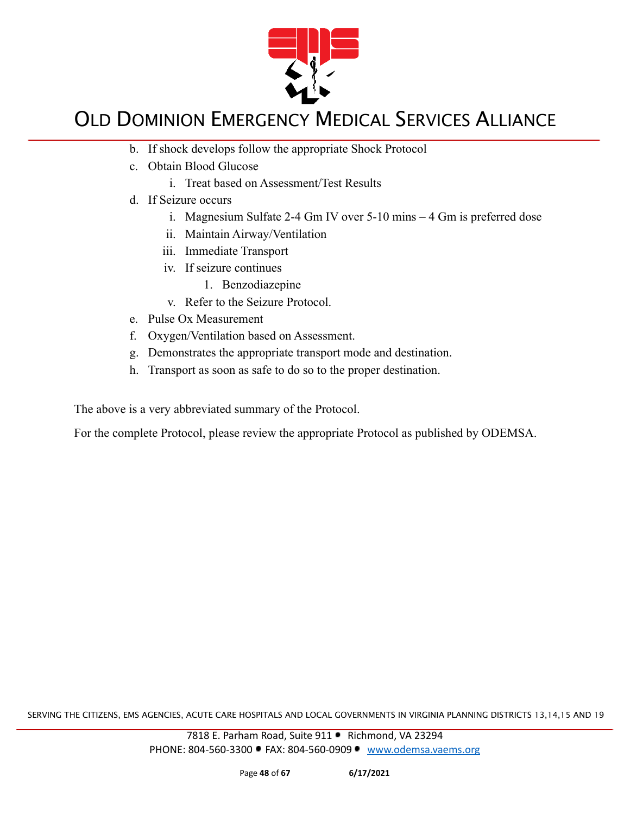

- b. If shock develops follow the appropriate Shock Protocol
- c. Obtain Blood Glucose
	- i. Treat based on Assessment/Test Results
- d. If Seizure occurs
	- i. Magnesium Sulfate 2-4 Gm IV over 5-10 mins 4 Gm is preferred dose
	- ii. Maintain Airway/Ventilation
	- iii. Immediate Transport
	- iv. If seizure continues
		- 1. Benzodiazepine
	- v. Refer to the Seizure Protocol.
- e. Pulse Ox Measurement
- f. Oxygen/Ventilation based on Assessment.
- g. Demonstrates the appropriate transport mode and destination.
- h. Transport as soon as safe to do so to the proper destination.

The above is a very abbreviated summary of the Protocol.

For the complete Protocol, please review the appropriate Protocol as published by ODEMSA.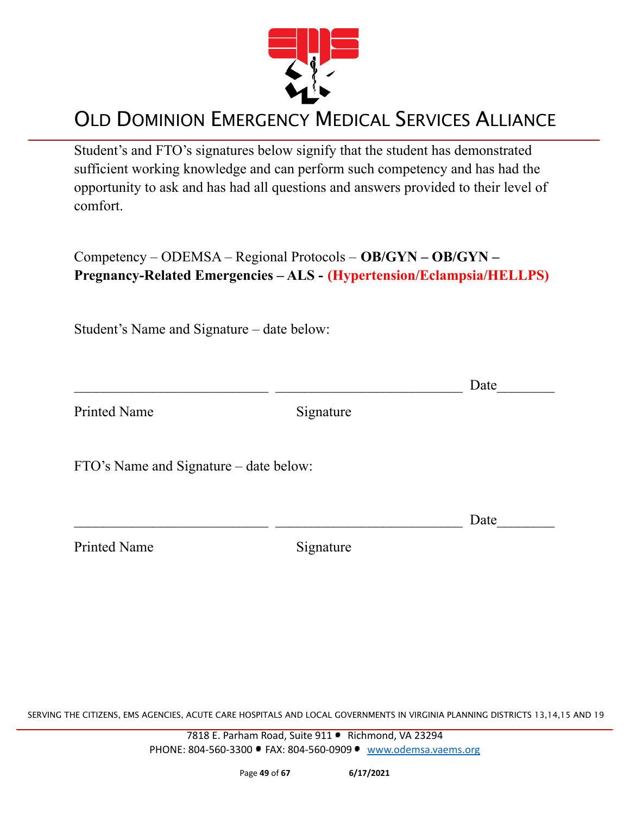

Student's and FTO's signatures below signify that the student has demonstrated sufficient working knowledge and can perform such competency and has had the opportunity to ask and has had all questions and answers provided to their level of comfort.

Competency – ODEMSA – Regional Protocols – **OB/GYN – OB/GYN – Pregnancy-Related Emergencies – ALS - (Hypertension/Eclampsia/HELLPS)**

Student's Name and Signature – date below:

|                                        |           | Date |
|----------------------------------------|-----------|------|
| <b>Printed Name</b>                    | Signature |      |
| FTO's Name and Signature – date below: |           |      |
|                                        |           | Date |
| <b>Printed Name</b>                    | Signature |      |
|                                        |           |      |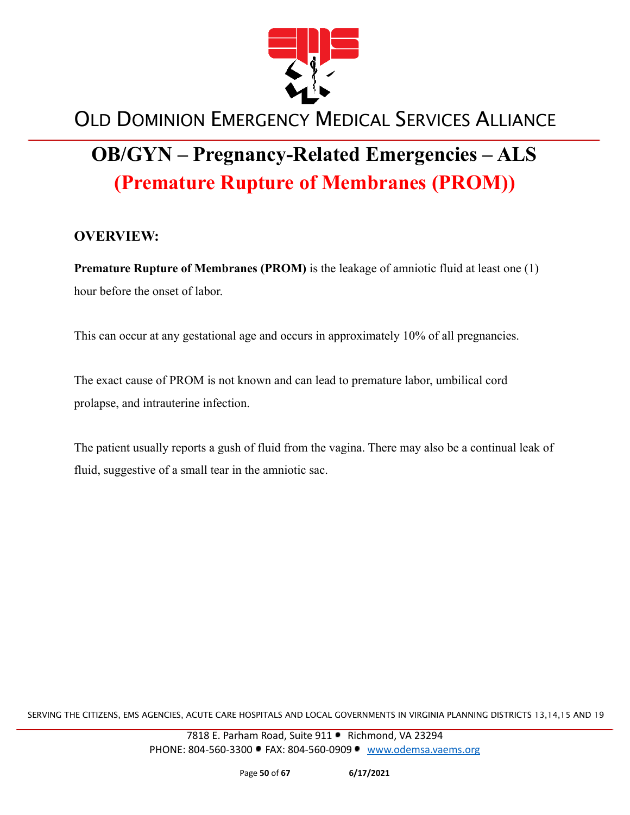

# **OB/GYN – Pregnancy-Related Emergencies – ALS (Premature Rupture of Membranes (PROM))**

### **OVERVIEW:**

**Premature Rupture of Membranes (PROM)** is the leakage of amniotic fluid at least one (1) hour before the onset of labor.

This can occur at any gestational age and occurs in approximately 10% of all pregnancies.

The exact cause of PROM is not known and can lead to premature labor, umbilical cord prolapse, and intrauterine infection.

The patient usually reports a gush of fluid from the vagina. There may also be a continual leak of fluid, suggestive of a small tear in the amniotic sac.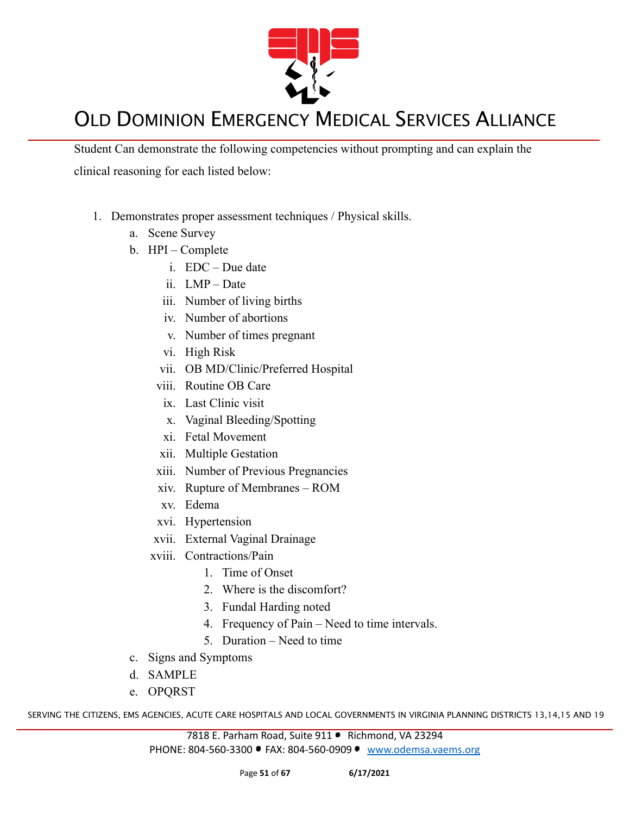

Student Can demonstrate the following competencies without prompting and can explain the clinical reasoning for each listed below:

- 1. Demonstrates proper assessment techniques / Physical skills.
	- a. Scene Survey
	- b. HPI Complete
		- i. EDC Due date
		- ii. LMP Date
		- iii. Number of living births
		- iv. Number of abortions
		- v. Number of times pregnant
		- vi. High Risk
		- vii. OB MD/Clinic/Preferred Hospital
		- viii. Routine OB Care
		- ix. Last Clinic visit
		- x. Vaginal Bleeding/Spotting
		- xi. Fetal Movement
		- xii. Multiple Gestation
		- xiii. Number of Previous Pregnancies
		- xiv. Rupture of Membranes ROM
		- xv. Edema
		- xvi. Hypertension
		- xvii. External Vaginal Drainage
		- xviii. Contractions/Pain
			- 1. Time of Onset
			- 2. Where is the discomfort?
			- 3. Fundal Harding noted
			- 4. Frequency of Pain Need to time intervals.
			- 5. Duration Need to time
	- c. Signs and Symptoms
	- d. SAMPLE
	- e. OPQRST

SERVING THE CITIZENS, EMS AGENCIES, ACUTE CARE HOSPITALS AND LOCAL GOVERNMENTS IN VIRGINIA PLANNING DISTRICTS 13,14,15 AND 19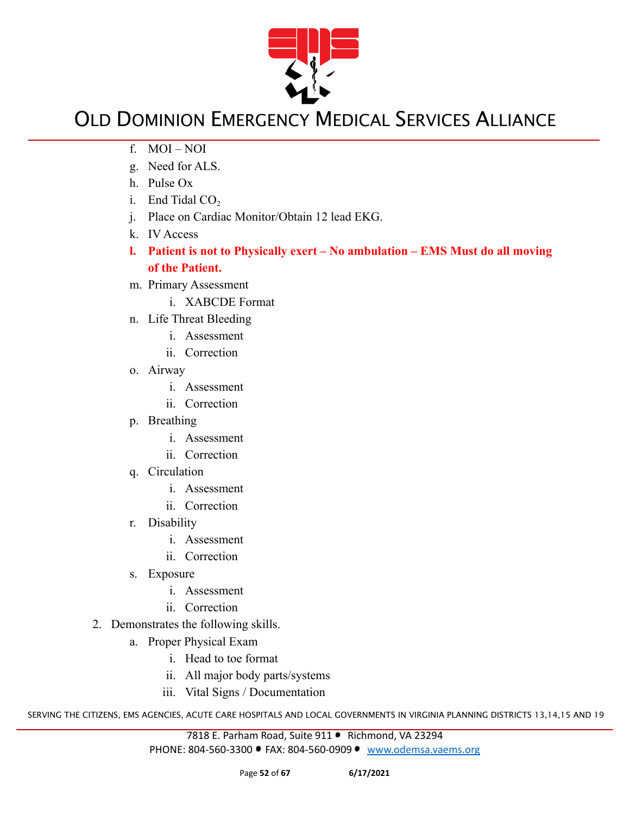

- f. MOI NOI
- g. Need for ALS.
- h. Pulse Ox
- i. End Tidal  $CO<sub>2</sub>$
- j. Place on Cardiac Monitor/Obtain 12 lead EKG.
- k. IV Access
- **l. Patient is not to Physically exert No ambulation EMS Must do all moving of the Patient.**
- m. Primary Assessment
	- i. XABCDE Format
- n. Life Threat Bleeding
	- i. Assessment
	- ii. Correction
- o. Airway
	- i. Assessment
	- ii. Correction
- p. Breathing
	- i. Assessment
	- ii. Correction
- q. Circulation
	- i. Assessment
	- ii. Correction
- r. Disability
	- i. Assessment
	- ii. Correction
- s. Exposure
	- i. Assessment
	- ii. Correction
- 2. Demonstrates the following skills.
	- a. Proper Physical Exam
		- i. Head to toe format
		- ii. All major body parts/systems
		- iii. Vital Signs / Documentation

SERVING THE CITIZENS, EMS AGENCIES, ACUTE CARE HOSPITALS AND LOCAL GOVERNMENTS IN VIRGINIA PLANNING DISTRICTS 13,14,15 AND 19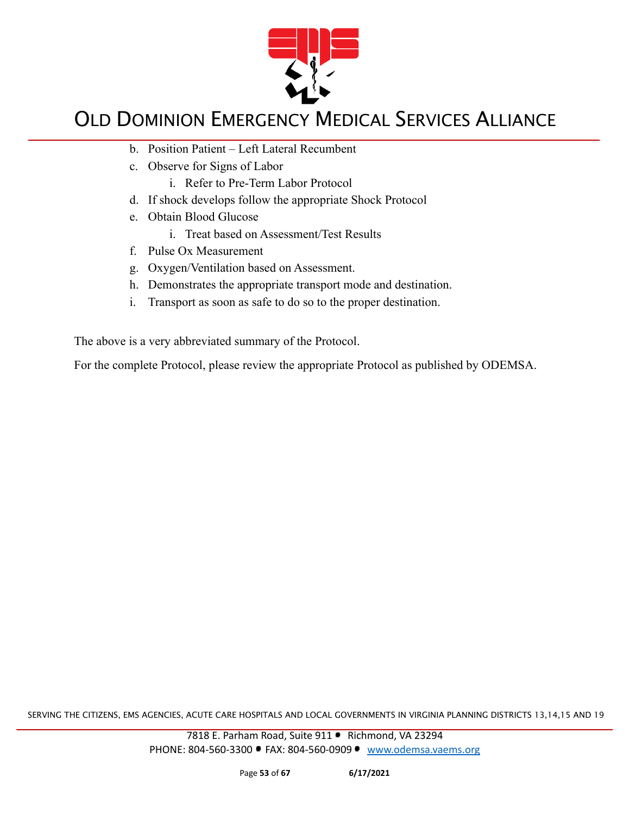

- b. Position Patient Left Lateral Recumbent
- c. Observe for Signs of Labor
	- i. Refer to Pre-Term Labor Protocol
- d. If shock develops follow the appropriate Shock Protocol
- e. Obtain Blood Glucose
	- i. Treat based on Assessment/Test Results
- f. Pulse Ox Measurement
- g. Oxygen/Ventilation based on Assessment.
- h. Demonstrates the appropriate transport mode and destination.
- i. Transport as soon as safe to do so to the proper destination.

The above is a very abbreviated summary of the Protocol.

For the complete Protocol, please review the appropriate Protocol as published by ODEMSA.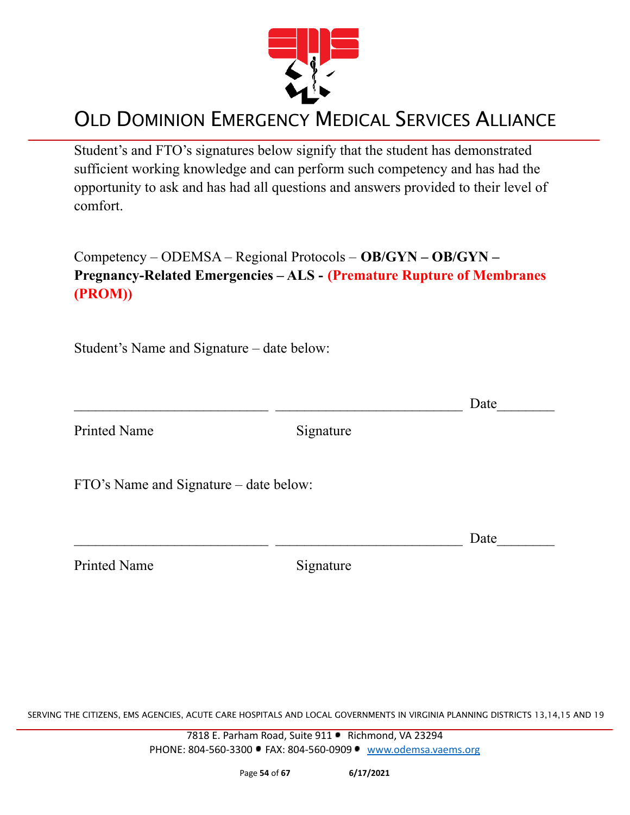

Student's and FTO's signatures below signify that the student has demonstrated sufficient working knowledge and can perform such competency and has had the opportunity to ask and has had all questions and answers provided to their level of comfort.

Competency – ODEMSA – Regional Protocols – **OB/GYN – OB/GYN – Pregnancy-Related Emergencies – ALS - (Premature Rupture of Membranes (PROM))**

Student's Name and Signature – date below:

 $\Box$  Date Printed Name Signature FTO's Name and Signature – date below:  $\Box$  Date

Printed Name Signature

SERVING THE CITIZENS, EMS AGENCIES, ACUTE CARE HOSPITALS AND LOCAL GOVERNMENTS IN VIRGINIA PLANNING DISTRICTS 13,14,15 AND 19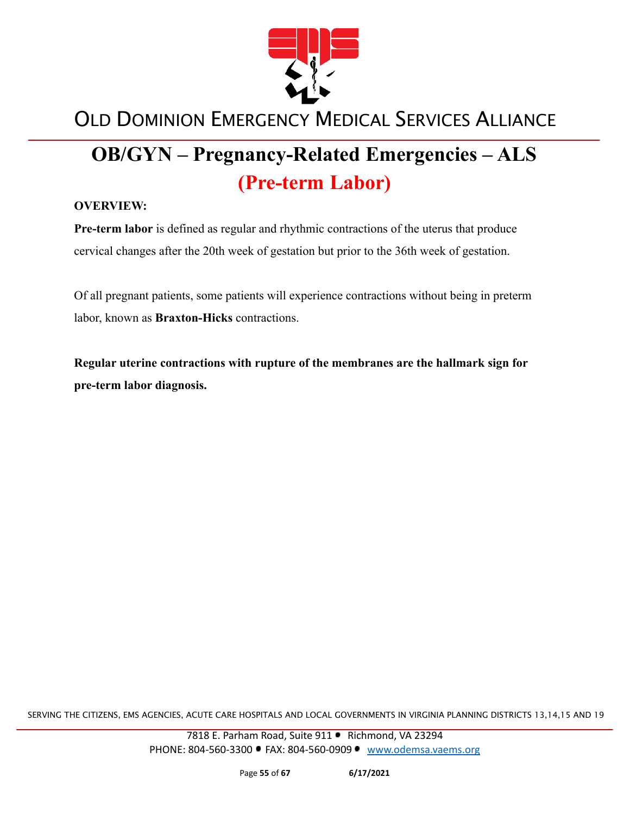

## **OB/GYN – Pregnancy-Related Emergencies – ALS (Pre-term Labor)**

#### **OVERVIEW:**

**Pre-term labor** is defined as regular and rhythmic contractions of the uterus that produce cervical changes after the 20th week of gestation but prior to the 36th week of gestation.

Of all pregnant patients, some patients will experience contractions without being in preterm labor, known as **Braxton-Hicks** contractions.

**Regular uterine contractions with rupture of the membranes are the hallmark sign for pre-term labor diagnosis.**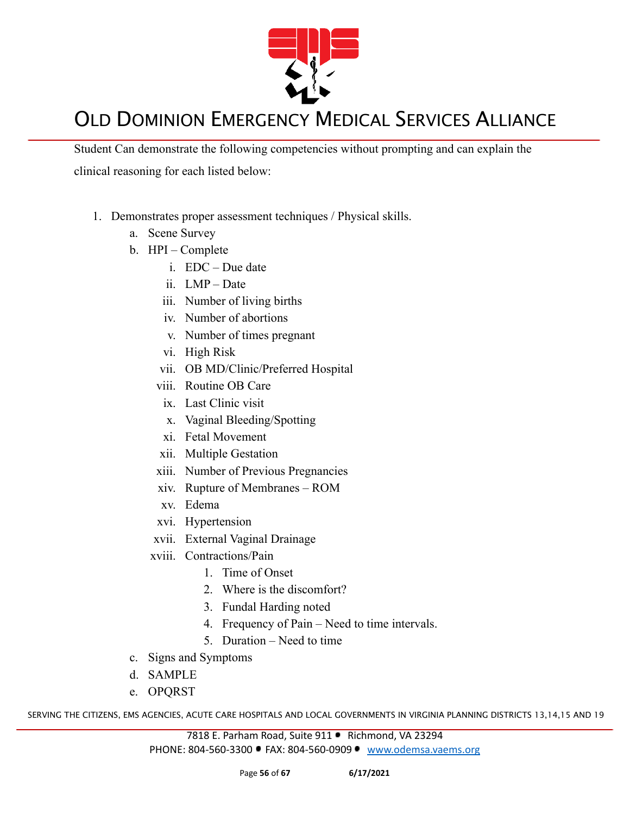

Student Can demonstrate the following competencies without prompting and can explain the clinical reasoning for each listed below:

- 1. Demonstrates proper assessment techniques / Physical skills.
	- a. Scene Survey
	- b. HPI Complete
		- i. EDC Due date
		- ii. LMP Date
		- iii. Number of living births
		- iv. Number of abortions
		- v. Number of times pregnant
		- vi. High Risk
		- vii. OB MD/Clinic/Preferred Hospital
		- viii. Routine OB Care
		- ix. Last Clinic visit
		- x. Vaginal Bleeding/Spotting
		- xi. Fetal Movement
		- xii. Multiple Gestation
		- xiii. Number of Previous Pregnancies
		- xiv. Rupture of Membranes ROM
		- xv. Edema
		- xvi. Hypertension
		- xvii. External Vaginal Drainage
		- xviii. Contractions/Pain
			- 1. Time of Onset
			- 2. Where is the discomfort?
			- 3. Fundal Harding noted
			- 4. Frequency of Pain Need to time intervals.
			- 5. Duration Need to time
	- c. Signs and Symptoms
	- d. SAMPLE
	- e. OPQRST

SERVING THE CITIZENS, EMS AGENCIES, ACUTE CARE HOSPITALS AND LOCAL GOVERNMENTS IN VIRGINIA PLANNING DISTRICTS 13,14,15 AND 19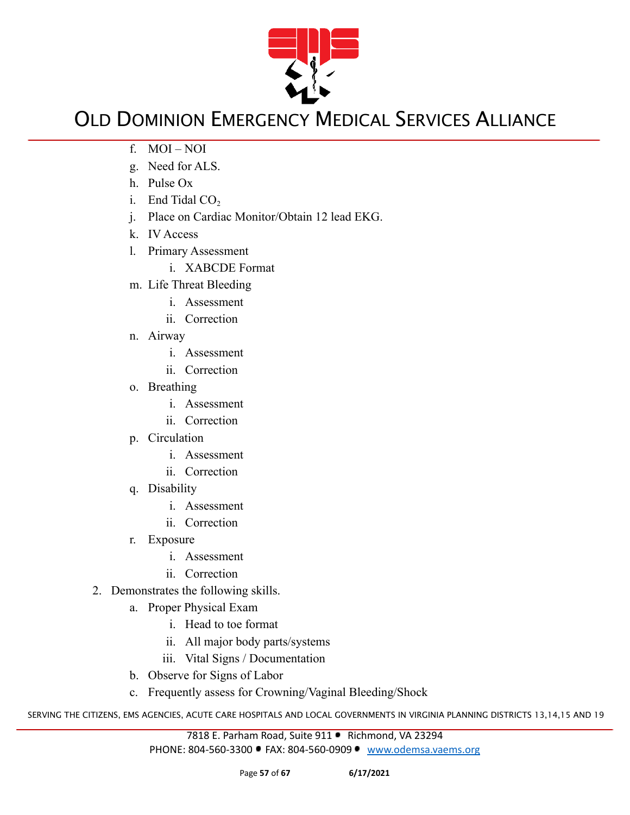

- f. MOI NOI
- g. Need for ALS.
- h. Pulse Ox
- i. End Tidal  $CO<sub>2</sub>$
- j. Place on Cardiac Monitor/Obtain 12 lead EKG.
- k. IV Access
- l. Primary Assessment
	- i. XABCDE Format
- m. Life Threat Bleeding
	- i. Assessment
	- ii. Correction
- n. Airway
	- i. Assessment
	- ii. Correction
- o. Breathing
	- i. Assessment
	- ii. Correction
- p. Circulation
	- i. Assessment
	- ii. Correction
- q. Disability
	- i. Assessment
	- ii. Correction
- r. Exposure
	- i. Assessment
	- ii. Correction
- 2. Demonstrates the following skills.
	- a. Proper Physical Exam
		- i. Head to toe format
		- ii. All major body parts/systems
		- iii. Vital Signs / Documentation
	- b. Observe for Signs of Labor
	- c. Frequently assess for Crowning/Vaginal Bleeding/Shock

SERVING THE CITIZENS, EMS AGENCIES, ACUTE CARE HOSPITALS AND LOCAL GOVERNMENTS IN VIRGINIA PLANNING DISTRICTS 13,14,15 AND 19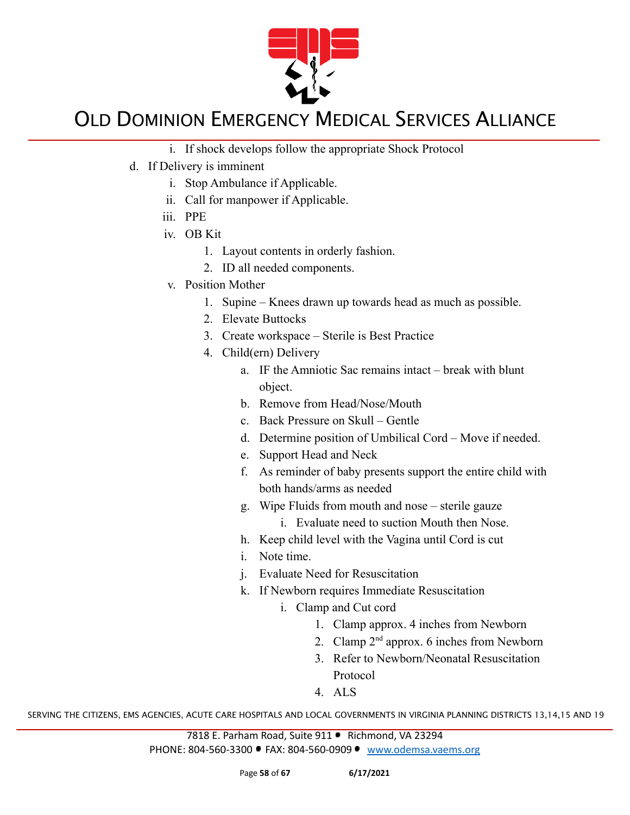

- i. If shock develops follow the appropriate Shock Protocol
- d. If Delivery is imminent
	- i. Stop Ambulance if Applicable.
	- ii. Call for manpower if Applicable.
	- iii. PPE
	- iv. OB Kit
		- 1. Layout contents in orderly fashion.
		- 2. ID all needed components.
	- v. Position Mother
		- 1. Supine Knees drawn up towards head as much as possible.
		- 2. Elevate Buttocks
		- 3. Create workspace Sterile is Best Practice
		- 4. Child(ern) Delivery
			- a. IF the Amniotic Sac remains intact break with blunt object.
			- b. Remove from Head/Nose/Mouth
			- c. Back Pressure on Skull Gentle
			- d. Determine position of Umbilical Cord Move if needed.
			- e. Support Head and Neck
			- f. As reminder of baby presents support the entire child with both hands/arms as needed
			- g. Wipe Fluids from mouth and nose sterile gauze
				- i. Evaluate need to suction Mouth then Nose.
			- h. Keep child level with the Vagina until Cord is cut
			- i. Note time.
			- j. Evaluate Need for Resuscitation
			- k. If Newborn requires Immediate Resuscitation
				- i. Clamp and Cut cord
					- 1. Clamp approx. 4 inches from Newborn
					- 2. Clamp  $2<sup>nd</sup>$  approx. 6 inches from Newborn
					- 3. Refer to Newborn/Neonatal Resuscitation Protocol
					- 4. ALS

SERVING THE CITIZENS, EMS AGENCIES, ACUTE CARE HOSPITALS AND LOCAL GOVERNMENTS IN VIRGINIA PLANNING DISTRICTS 13,14,15 AND 19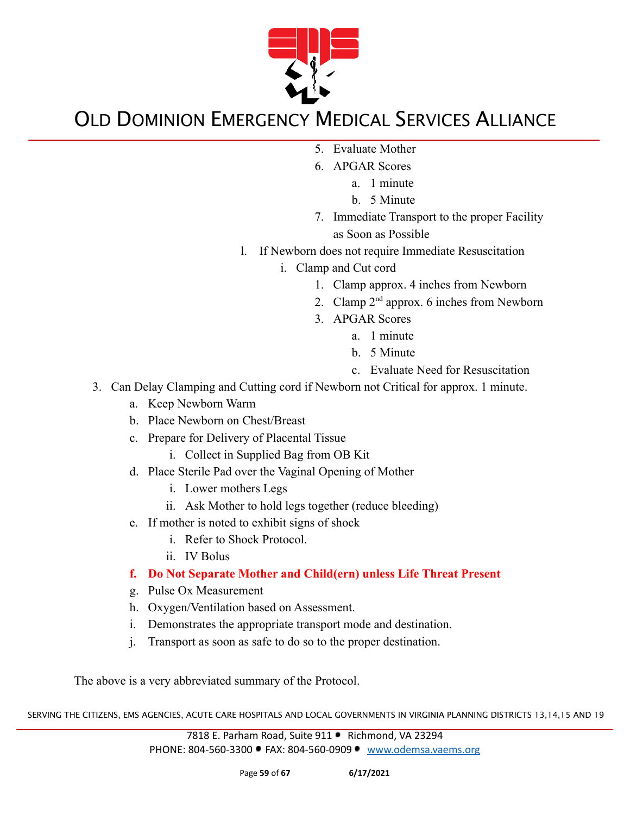

- 5. Evaluate Mother
- 6. APGAR Scores
	- a. 1 minute
	- b. 5 Minute
- 7. Immediate Transport to the proper Facility as Soon as Possible
- l. If Newborn does not require Immediate Resuscitation
	- i. Clamp and Cut cord
		- 1. Clamp approx. 4 inches from Newborn
		- 2. Clamp  $2^{nd}$  approx. 6 inches from Newborn
		- 3. APGAR Scores
			- a. 1 minute
			- b. 5 Minute
			- c. Evaluate Need for Resuscitation
- 3. Can Delay Clamping and Cutting cord if Newborn not Critical for approx. 1 minute.
	- a. Keep Newborn Warm
	- b. Place Newborn on Chest/Breast
	- c. Prepare for Delivery of Placental Tissue
		- i. Collect in Supplied Bag from OB Kit
	- d. Place Sterile Pad over the Vaginal Opening of Mother
		- i. Lower mothers Legs
		- ii. Ask Mother to hold legs together (reduce bleeding)
	- e. If mother is noted to exhibit signs of shock
		- i. Refer to Shock Protocol.
		- ii. IV Bolus
	- **f. Do Not Separate Mother and Child(ern) unless Life Threat Present**
	- g. Pulse Ox Measurement
	- h. Oxygen/Ventilation based on Assessment.
	- i. Demonstrates the appropriate transport mode and destination.
	- j. Transport as soon as safe to do so to the proper destination.

The above is a very abbreviated summary of the Protocol.

SERVING THE CITIZENS, EMS AGENCIES, ACUTE CARE HOSPITALS AND LOCAL GOVERNMENTS IN VIRGINIA PLANNING DISTRICTS 13,14,15 AND 19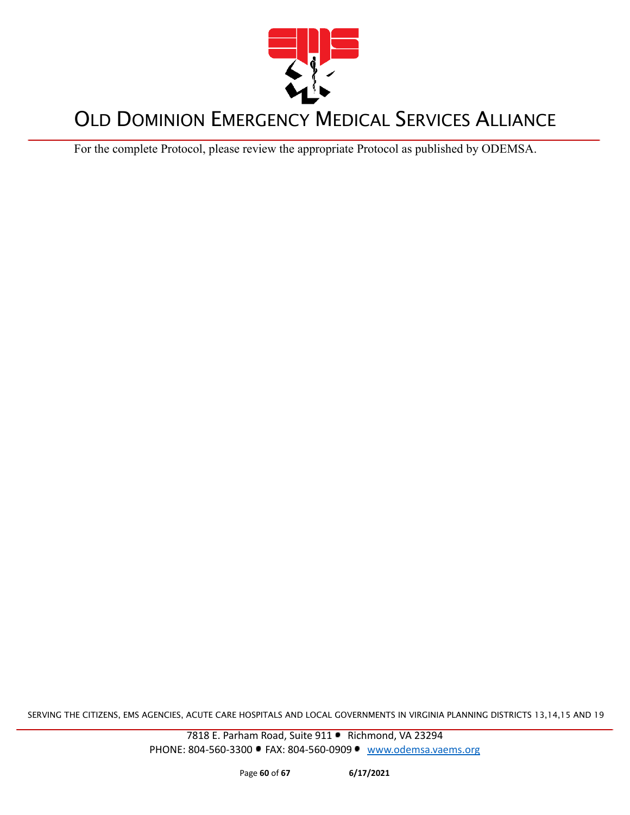

For the complete Protocol, please review the appropriate Protocol as published by ODEMSA.

SERVING THE CITIZENS, EMS AGENCIES, ACUTE CARE HOSPITALS AND LOCAL GOVERNMENTS IN VIRGINIA PLANNING DISTRICTS 13,14,15 AND 19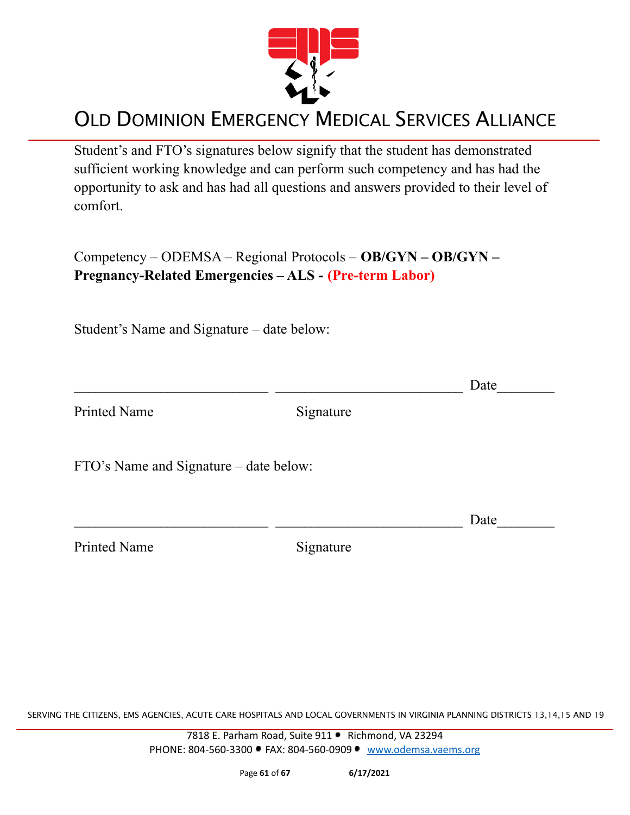

Student's and FTO's signatures below signify that the student has demonstrated sufficient working knowledge and can perform such competency and has had the opportunity to ask and has had all questions and answers provided to their level of comfort.

Competency – ODEMSA – Regional Protocols – **OB/GYN – OB/GYN – Pregnancy-Related Emergencies – ALS - (Pre-term Labor)**

Student's Name and Signature – date below:

|                                        | Date |
|----------------------------------------|------|
| Signature                              |      |
| FTO's Name and Signature – date below: |      |
|                                        | Date |
| Signature                              |      |
|                                        |      |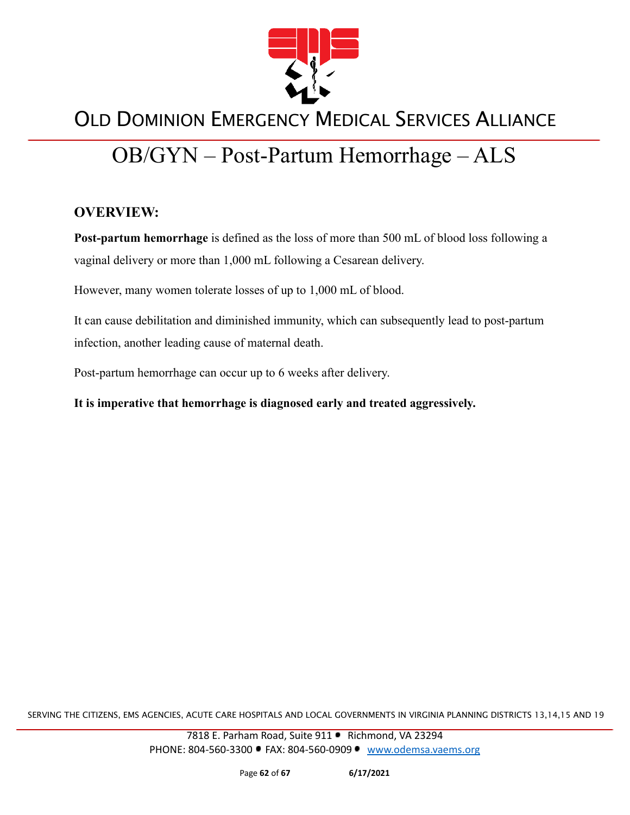

## OB/GYN – Post-Partum Hemorrhage – ALS

#### **OVERVIEW:**

**Post-partum hemorrhage** is defined as the loss of more than 500 mL of blood loss following a vaginal delivery or more than 1,000 mL following a Cesarean delivery.

However, many women tolerate losses of up to 1,000 mL of blood.

It can cause debilitation and diminished immunity, which can subsequently lead to post-partum infection, another leading cause of maternal death.

Post-partum hemorrhage can occur up to 6 weeks after delivery.

**It is imperative that hemorrhage is diagnosed early and treated aggressively.**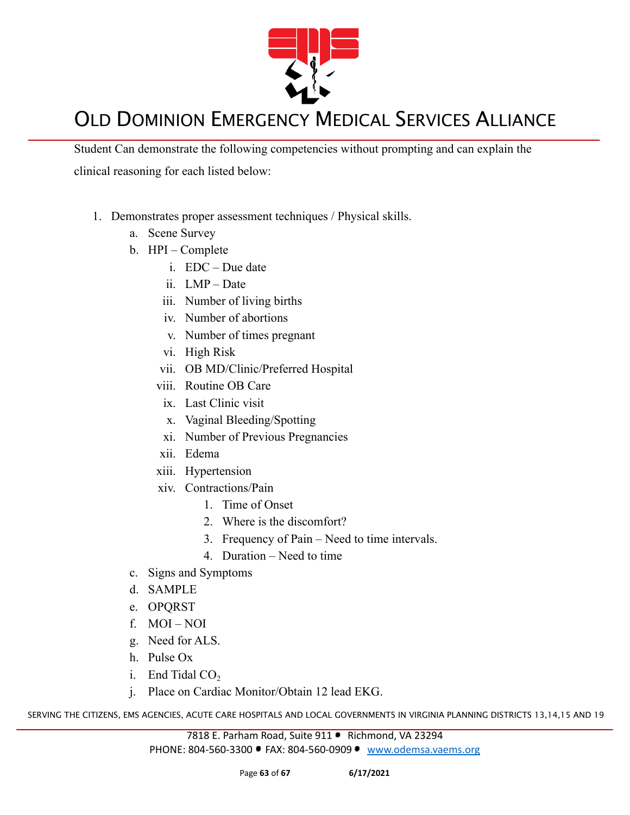

Student Can demonstrate the following competencies without prompting and can explain the clinical reasoning for each listed below:

- 1. Demonstrates proper assessment techniques / Physical skills.
	- a. Scene Survey
	- b. HPI Complete
		- i. EDC Due date
		- ii. LMP Date
		- iii. Number of living births
		- iv. Number of abortions
		- v. Number of times pregnant
		- vi. High Risk
		- vii. OB MD/Clinic/Preferred Hospital
		- viii. Routine OB Care
		- ix. Last Clinic visit
		- x. Vaginal Bleeding/Spotting
		- xi. Number of Previous Pregnancies
		- xii. Edema
		- xiii. Hypertension
		- xiv. Contractions/Pain
			- 1. Time of Onset
			- 2. Where is the discomfort?
			- 3. Frequency of Pain Need to time intervals.
			- 4. Duration Need to time
	- c. Signs and Symptoms
	- d. SAMPLE
	- e. OPQRST
	- f. MOI NOI
	- g. Need for ALS.
	- h. Pulse Ox
	- i. End Tidal  $CO<sub>2</sub>$
	- j. Place on Cardiac Monitor/Obtain 12 lead EKG.

SERVING THE CITIZENS, EMS AGENCIES, ACUTE CARE HOSPITALS AND LOCAL GOVERNMENTS IN VIRGINIA PLANNING DISTRICTS 13,14,15 AND 19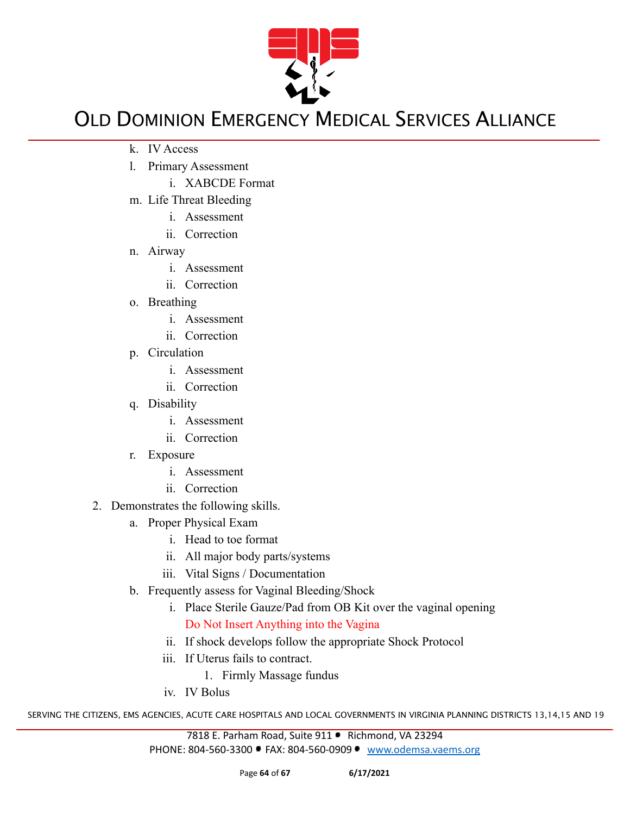

- k. IV Access
- l. Primary Assessment
	- i. XABCDE Format
- m. Life Threat Bleeding
	- i. Assessment
	- ii. Correction
- n. Airway
	- i. Assessment
	- ii. Correction
- o. Breathing
	- i. Assessment
	- ii. Correction
- p. Circulation
	- i. Assessment
	- ii. Correction
- q. Disability
	- i. Assessment
	- ii. Correction
- r. Exposure
	- i. Assessment
	- ii. Correction
- 2. Demonstrates the following skills.
	- a. Proper Physical Exam
		- i. Head to toe format
		- ii. All major body parts/systems
		- iii. Vital Signs / Documentation
	- b. Frequently assess for Vaginal Bleeding/Shock
		- i. Place Sterile Gauze/Pad from OB Kit over the vaginal opening Do Not Insert Anything into the Vagina
		- ii. If shock develops follow the appropriate Shock Protocol
		- iii. If Uterus fails to contract.
			- 1. Firmly Massage fundus
		- iv. IV Bolus

SERVING THE CITIZENS, EMS AGENCIES, ACUTE CARE HOSPITALS AND LOCAL GOVERNMENTS IN VIRGINIA PLANNING DISTRICTS 13,14,15 AND 19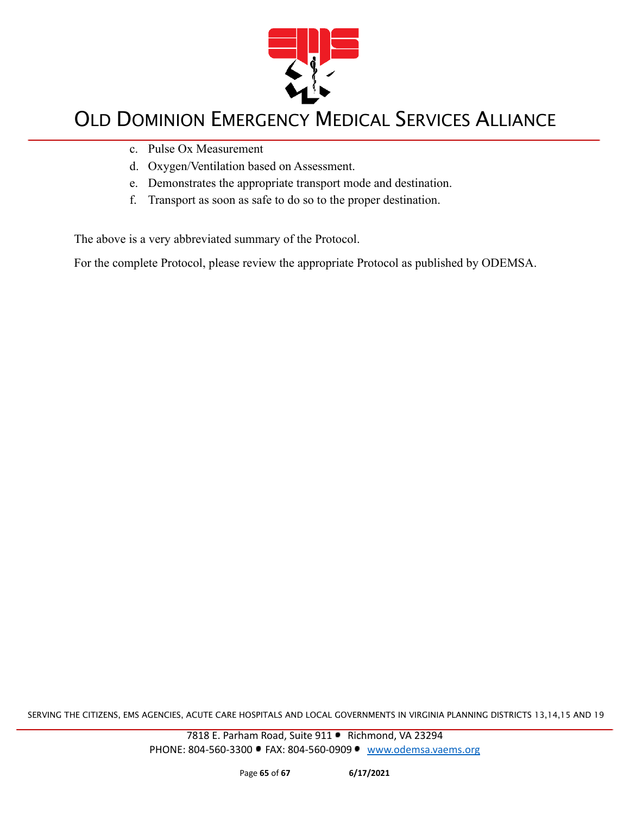

- c. Pulse Ox Measurement
- d. Oxygen/Ventilation based on Assessment.
- e. Demonstrates the appropriate transport mode and destination.
- f. Transport as soon as safe to do so to the proper destination.

The above is a very abbreviated summary of the Protocol.

For the complete Protocol, please review the appropriate Protocol as published by ODEMSA.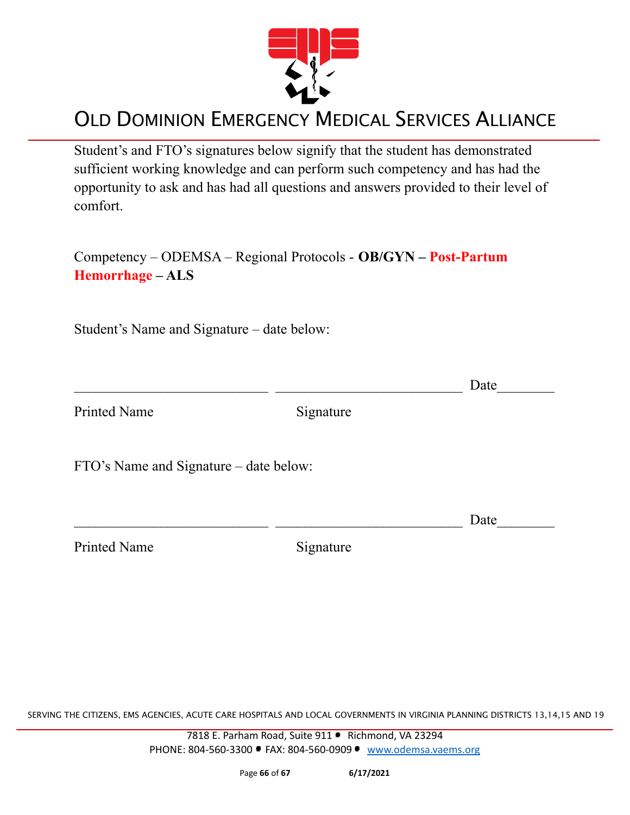

Student's and FTO's signatures below signify that the student has demonstrated sufficient working knowledge and can perform such competency and has had the opportunity to ask and has had all questions and answers provided to their level of comfort.

Competency – ODEMSA – Regional Protocols - **OB/GYN – Post-Partum Hemorrhage – ALS**

Student's Name and Signature – date below:

|                                        |           | Date |
|----------------------------------------|-----------|------|
| <b>Printed Name</b>                    | Signature |      |
| FTO's Name and Signature – date below: |           |      |
|                                        |           | Date |
| <b>Printed Name</b>                    | Signature |      |

SERVING THE CITIZENS, EMS AGENCIES, ACUTE CARE HOSPITALS AND LOCAL GOVERNMENTS IN VIRGINIA PLANNING DISTRICTS 13,14,15 AND 19